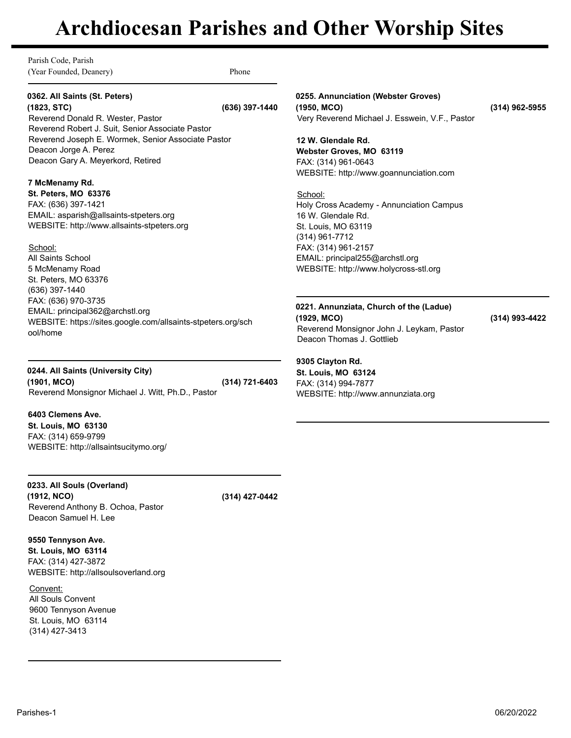Parish Code, Parish (Year Founded, Deanery) Phone

# **0362. All Saints (St. Peters)**

**(1823, STC) (636) 397-1440** Reverend Donald R. Wester, Pastor Reverend Robert J. Suit, Senior Associate Pastor Reverend Joseph E. Wormek, Senior Associate Pastor Deacon Jorge A. Perez Deacon Gary A. Meyerkord, Retired

## **7 McMenamy Rd.**

**St. Peters, MO 63376** FAX: (636) 397-1421 EMAIL: asparish@allsaints-stpeters.org WEBSITE: http://www.allsaints-stpeters.org

### School:

All Saints School 5 McMenamy Road St. Peters, MO 63376 (636) 397-1440 FAX: (636) 970-3735 EMAIL: principal362@archstl.org WEBSITE: https://sites.google.com/allsaints-stpeters.org/sch ool/home

**0244. All Saints (University City) (1901, MCO) (314) 721-6403** Reverend Monsignor Michael J. Witt, Ph.D., Pastor

**6403 Clemens Ave. St. Louis, MO 63130**

FAX: (314) 659-9799 WEBSITE: http://allsaintsucitymo.org/

**0233. All Souls (Overland) (1912, NCO) (314) 427-0442** Reverend Anthony B. Ochoa, Pastor Deacon Samuel H. Lee

**9550 Tennyson Ave. St. Louis, MO 63114** FAX: (314) 427-3872 WEBSITE: http://allsoulsoverland.org

Convent: All Souls Convent 9600 Tennyson Avenue St. Louis, MO 63114 (314) 427-3413

**0255. Annunciation (Webster Groves) (1950, MCO) (314) 962-5955** Very Reverend Michael J. Esswein, V.F., Pastor

**12 W. Glendale Rd. Webster Groves, MO 63119** FAX: (314) 961-0643 WEBSITE: http://www.goannunciation.com

School: Holy Cross Academy - Annunciation Campus 16 W. Glendale Rd. St. Louis, MO 63119 (314) 961-7712 FAX: (314) 961-2157 EMAIL: principal255@archstl.org WEBSITE: http://www.holycross-stl.org

**0221. Annunziata, Church of the (Ladue) (1929, MCO) (314) 993-4422** Reverend Monsignor John J. Leykam, Pastor Deacon Thomas J. Gottlieb

### **9305 Clayton Rd. St. Louis, MO 63124**

FAX: (314) 994-7877 WEBSITE: http://www.annunziata.org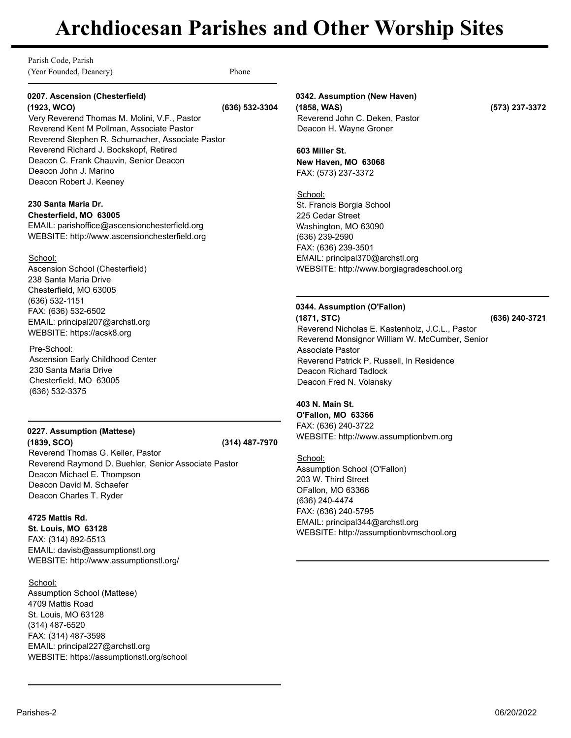Parish Code, Parish (Year Founded, Deanery) Phone

### **0207. Ascension (Chesterfield) (1923, WCO) (636) 532-3304**

Very Reverend Thomas M. Molini, V.F., Pastor Reverend Kent M Pollman, Associate Pastor Reverend Stephen R. Schumacher, Associate Pastor Reverend Richard J. Bockskopf, Retired Deacon C. Frank Chauvin, Senior Deacon Deacon John J. Marino Deacon Robert J. Keeney

# **230 Santa Maria Dr.**

**Chesterfield, MO 63005** EMAIL: parishoffice@ascensionchesterfield.org WEBSITE: http://www.ascensionchesterfield.org

## School:

Ascension School (Chesterfield) 238 Santa Maria Drive Chesterfield, MO 63005 (636) 532-1151 FAX: (636) 532-6502 EMAIL: principal207@archstl.org WEBSITE: https://acsk8.org

# Pre-School:

Ascension Early Childhood Center 230 Santa Maria Drive Chesterfield, MO 63005 (636) 532-3375

# **0227. Assumption (Mattese)**

**(1839, SCO) (314) 487-7970** Reverend Thomas G. Keller, Pastor Reverend Raymond D. Buehler, Senior Associate Pastor Deacon Michael E. Thompson Deacon David M. Schaefer Deacon Charles T. Ryder

# **4725 Mattis Rd.**

**St. Louis, MO 63128** FAX: (314) 892-5513 EMAIL: davisb@assumptionstl.org WEBSITE: http://www.assumptionstl.org/

School:

Assumption School (Mattese) 4709 Mattis Road St. Louis, MO 63128 (314) 487-6520 FAX: (314) 487-3598 EMAIL: principal227@archstl.org WEBSITE: https://assumptionstl.org/school

# **0342. Assumption (New Haven)**

**(1858, WAS) (573) 237-3372** Reverend John C. Deken, Pastor Deacon H. Wayne Groner

**603 Miller St. New Haven, MO 63068** FAX: (573) 237-3372

School: St. Francis Borgia School 225 Cedar Street Washington, MO 63090 (636) 239-2590 FAX: (636) 239-3501 EMAIL: principal370@archstl.org WEBSITE: http://www.borgiagradeschool.org

# **0344. Assumption (O'Fallon)**

**(1871, STC) (636) 240-3721** Reverend Nicholas E. Kastenholz, J.C.L., Pastor Reverend Monsignor William W. McCumber, Senior Associate Pastor Reverend Patrick P. Russell, In Residence Deacon Richard Tadlock Deacon Fred N. Volansky

# **403 N. Main St.**

**O'Fallon, MO 63366** FAX: (636) 240-3722 WEBSITE: http://www.assumptionbvm.org

School: Assumption School (O'Fallon) 203 W. Third Street OFallon, MO 63366 (636) 240-4474 FAX: (636) 240-5795 EMAIL: principal344@archstl.org WEBSITE: http://assumptionbvmschool.org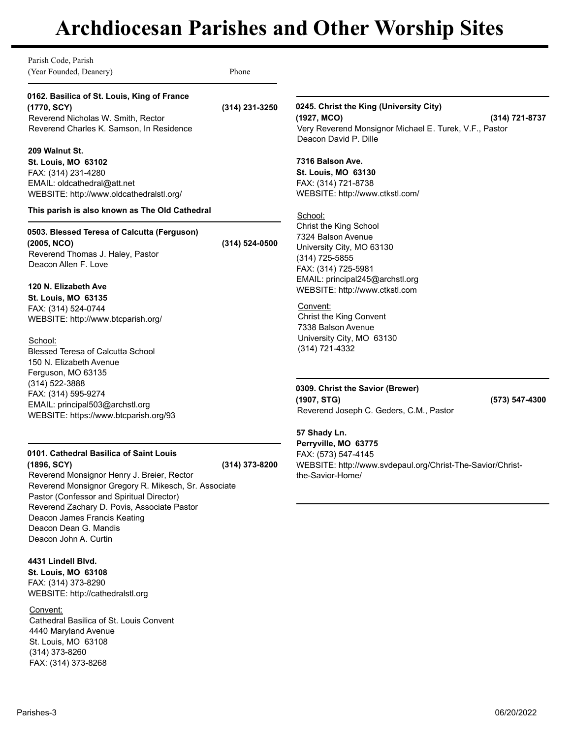Parish Code, Parish (Year Founded, Deanery) Phone **0162. Basilica of St. Louis, King of France (1770, SCY) (314) 231-3250** Reverend Nicholas W. Smith, Rector Reverend Charles K. Samson, In Residence **209 Walnut St. St. Louis, MO 63102** FAX: (314) 231-4280 EMAIL: oldcathedral@att.net WEBSITE: http://www.oldcathedralstl.org/ **This parish is also known as The Old Cathedral 0503. Blessed Teresa of Calcutta (Ferguson) (2005, NCO) (314) 524-0500** Reverend Thomas J. Haley, Pastor Deacon Allen F. Love **120 N. Elizabeth Ave St. Louis, MO 63135** FAX: (314) 524-0744 WEBSITE: http://www.btcparish.org/ School: Blessed Teresa of Calcutta School 150 N. Elizabeth Avenue Ferguson, MO 63135 (314) 522-3888 FAX: (314) 595-9274 EMAIL: principal503@archstl.org WEBSITE: https://www.btcparish.org/93 **0101. Cathedral Basilica of Saint Louis (1896, SCY) (314) 373-8200** Reverend Monsignor Henry J. Breier, Rector Reverend Monsignor Gregory R. Mikesch, Sr. Associate Pastor (Confessor and Spiritual Director) Reverend Zachary D. Povis, Associate Pastor **0245. Christ the King (University City) (1927, MCO) (314) 721-8737** Very Reverend Monsignor Michael E. Turek, V.F., Pastor Deacon David P. Dille **7316 Balson Ave. St. Louis, MO 63130** FAX: (314) 721-8738 WEBSITE: http://www.ctkstl.com/ School: Christ the King School 7324 Balson Avenue University City, MO 63130 (314) 725-5855 FAX: (314) 725-5981 EMAIL: principal245@archstl.org WEBSITE: http://www.ctkstl.com Convent: Christ the King Convent 7338 Balson Avenue University City, MO 63130 (314) 721-4332 **0309. Christ the Savior (Brewer) (1907, STG) (573) 547-4300** Reverend Joseph C. Geders, C.M., Pastor **57 Shady Ln. Perryville, MO 63775** FAX: (573) 547-4145 WEBSITE: http://www.svdepaul.org/Christ-The-Savior/Christthe-Savior-Home/

Convent: Cathedral Basilica of St. Louis Convent 4440 Maryland Avenue St. Louis, MO 63108 (314) 373-8260 FAX: (314) 373-8268

Deacon James Francis Keating Deacon Dean G. Mandis Deacon John A. Curtin

WEBSITE: http://cathedralstl.org

**4431 Lindell Blvd. St. Louis, MO 63108** FAX: (314) 373-8290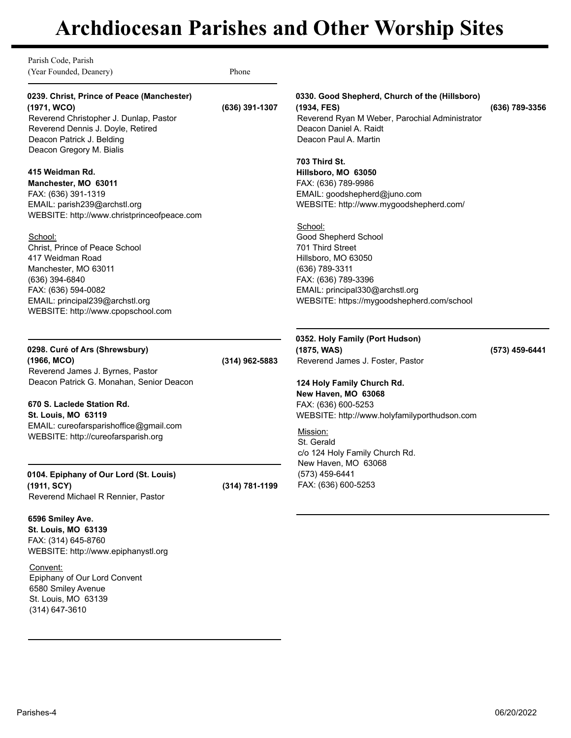Parish Code, Parish (Year Founded, Deanery) Phone

## **0239. Christ, Prince of Peace (Manchester) (1971, WCO) (636) 391-1307**

Reverend Christopher J. Dunlap, Pastor Reverend Dennis J. Doyle, Retired Deacon Patrick J. Belding Deacon Gregory M. Bialis

### **415 Weidman Rd.**

**Manchester, MO 63011** FAX: (636) 391-1319 EMAIL: parish239@archstl.org WEBSITE: http://www.christprinceofpeace.com

#### School:

Christ, Prince of Peace School 417 Weidman Road Manchester, MO 63011 (636) 394-6840 FAX: (636) 594-0082 EMAIL: principal239@archstl.org WEBSITE: http://www.cpopschool.com

#### **0298. Curé of Ars (Shrewsbury) (1966, MCO) (314) 962-5883**

Reverend James J. Byrnes, Pastor Deacon Patrick G. Monahan, Senior Deacon

# **670 S. Laclede Station Rd. St. Louis, MO 63119**

EMAIL: cureofarsparishoffice@gmail.com WEBSITE: http://cureofarsparish.org

### **0104. Epiphany of Our Lord (St. Louis) (1911, SCY) (314) 781-1199** Reverend Michael R Rennier, Pastor

**6596 Smiley Ave.**

**St. Louis, MO 63139** FAX: (314) 645-8760 WEBSITE: http://www.epiphanystl.org

#### Convent: Epiphany of Our Lord Convent 6580 Smiley Avenue St. Louis, MO 63139

(314) 647-3610

# **0330. Good Shepherd, Church of the (Hillsboro)**

**(1934, FES) (636) 789-3356** Reverend Ryan M Weber, Parochial Administrator Deacon Daniel A. Raidt Deacon Paul A. Martin

### **703 Third St.**

**Hillsboro, MO 63050** FAX: (636) 789-9986 EMAIL: goodshepherd@juno.com WEBSITE: http://www.mygoodshepherd.com/

School: Good Shepherd School 701 Third Street Hillsboro, MO 63050 (636) 789-3311 FAX: (636) 789-3396 EMAIL: principal330@archstl.org WEBSITE: https://mygoodshepherd.com/school

**0352. Holy Family (Port Hudson) (1875, WAS) (573) 459-6441** Reverend James J. Foster, Pastor

**124 Holy Family Church Rd. New Haven, MO 63068** FAX: (636) 600-5253 WEBSITE: http://www.holyfamilyporthudson.com

Mission: St. Gerald c/o 124 Holy Family Church Rd. New Haven, MO 63068 (573) 459-6441 FAX: (636) 600-5253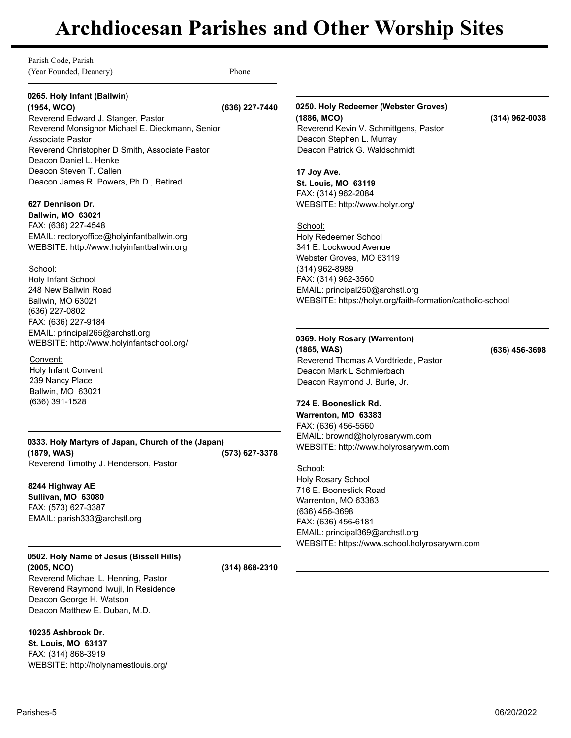Parish Code, Parish (Year Founded, Deanery) Phone

### **0265. Holy Infant (Ballwin) (1954, WCO) (636) 227-7440**

Reverend Edward J. Stanger, Pastor Reverend Monsignor Michael E. Dieckmann, Senior Associate Pastor Reverend Christopher D Smith, Associate Pastor Deacon Daniel L. Henke Deacon Steven T. Callen Deacon James R. Powers, Ph.D., Retired

# **627 Dennison Dr.**

**Ballwin, MO 63021** FAX: (636) 227-4548 EMAIL: rectoryoffice@holyinfantballwin.org WEBSITE: http://www.holyinfantballwin.org

School: Holy Infant School 248 New Ballwin Road Ballwin, MO 63021 (636) 227-0802 FAX: (636) 227-9184 EMAIL: principal265@archstl.org WEBSITE: http://www.holyinfantschool.org/

### Convent:

Holy Infant Convent 239 Nancy Place Ballwin, MO 63021 (636) 391-1528

**0333. Holy Martyrs of Japan, Church of the (Japan) (1879, WAS) (573) 627-3378** Reverend Timothy J. Henderson, Pastor

# **8244 Highway AE**

**Sullivan, MO 63080** FAX: (573) 627-3387 EMAIL: parish333@archstl.org

# **0502. Holy Name of Jesus (Bissell Hills) (2005, NCO) (314) 868-2310**

Reverend Michael L. Henning, Pastor Reverend Raymond Iwuji, In Residence Deacon George H. Watson Deacon Matthew E. Duban, M.D.

## **10235 Ashbrook Dr.**

**St. Louis, MO 63137** FAX: (314) 868-3919 WEBSITE: http://holynamestlouis.org/

### **0250. Holy Redeemer (Webster Groves) (1886, MCO) (314) 962-0038** Reverend Kevin V. Schmittgens, Pastor

### **17 Joy Ave.**

**St. Louis, MO 63119** FAX: (314) 962-2084 WEBSITE: http://www.holyr.org/

Deacon Stephen L. Murray Deacon Patrick G. Waldschmidt

School:

Holy Redeemer School 341 E. Lockwood Avenue Webster Groves, MO 63119 (314) 962-8989 FAX: (314) 962-3560 EMAIL: principal250@archstl.org WEBSITE: https://holyr.org/faith-formation/catholic-school

**0369. Holy Rosary (Warrenton) (1865, WAS) (636) 456-3698** Reverend Thomas A Vordtriede, Pastor Deacon Mark L Schmierbach Deacon Raymond J. Burle, Jr.

#### **724 E. Booneslick Rd. Warrenton, MO 63383**

FAX: (636) 456-5560 EMAIL: brownd@holyrosarywm.com WEBSITE: http://www.holyrosarywm.com

School: Holy Rosary School 716 E. Booneslick Road Warrenton, MO 63383 (636) 456-3698 FAX: (636) 456-6181 EMAIL: principal369@archstl.org WEBSITE: https://www.school.holyrosarywm.com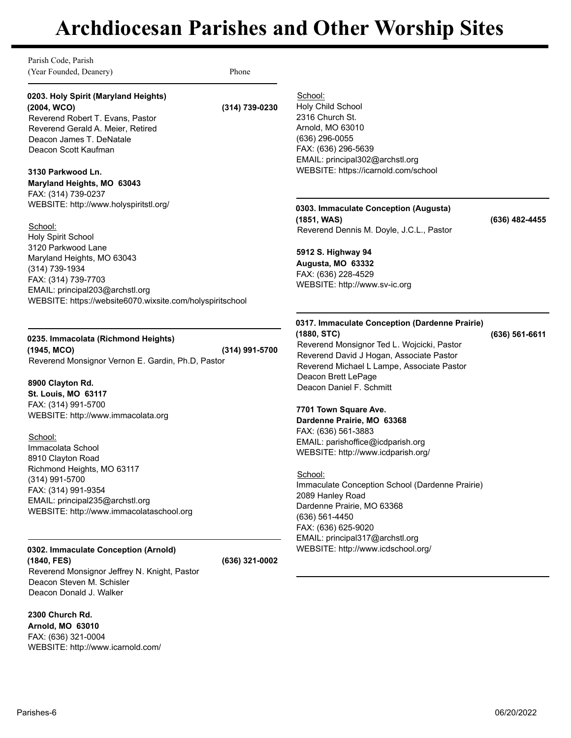School:

Parish Code, Parish (Year Founded, Deanery) Phone

### **0203. Holy Spirit (Maryland Heights) (2004, WCO) (314) 739-0230**

Reverend Robert T. Evans, Pastor Reverend Gerald A. Meier, Retired Deacon James T. DeNatale Deacon Scott Kaufman

## **3130 Parkwood Ln.**

**Maryland Heights, MO 63043** FAX: (314) 739-0237 WEBSITE: http://www.holyspiritstl.org/

### School:

Holy Spirit School 3120 Parkwood Lane Maryland Heights, MO 63043 (314) 739-1934 FAX: (314) 739-7703 EMAIL: principal203@archstl.org WEBSITE: https://website6070.wixsite.com/holyspiritschool

# **0235. Immacolata (Richmond Heights)**

**(1945, MCO) (314) 991-5700** Reverend Monsignor Vernon E. Gardin, Ph.D, Pastor

## **8900 Clayton Rd.**

**St. Louis, MO 63117** FAX: (314) 991-5700 WEBSITE: http://www.immacolata.org

### School:

Immacolata School 8910 Clayton Road Richmond Heights, MO 63117 (314) 991-5700 FAX: (314) 991-9354 EMAIL: principal235@archstl.org WEBSITE: http://www.immacolataschool.org

# **0302. Immaculate Conception (Arnold)**

**(1840, FES) (636) 321-0002** Reverend Monsignor Jeffrey N. Knight, Pastor Deacon Steven M. Schisler Deacon Donald J. Walker

### **2300 Church Rd.**

**Arnold, MO 63010** FAX: (636) 321-0004 WEBSITE: http://www.icarnold.com/

Holy Child School 2316 Church St. Arnold, MO 63010 (636) 296-0055 FAX: (636) 296-5639 EMAIL: principal302@archstl.org WEBSITE: https://icarnold.com/school

# **0303. Immaculate Conception (Augusta)**

**(1851, WAS) (636) 482-4455** Reverend Dennis M. Doyle, J.C.L., Pastor

# **5912 S. Highway 94 Augusta, MO 63332** FAX: (636) 228-4529 WEBSITE: http://www.sv-ic.org

# **0317. Immaculate Conception (Dardenne Prairie)**

**(1880, STC) (636) 561-6611** Reverend Monsignor Ted L. Wojcicki, Pastor Reverend David J Hogan, Associate Pastor Reverend Michael L Lampe, Associate Pastor Deacon Brett LePage Deacon Daniel F. Schmitt

## **7701 Town Square Ave.**

**Dardenne Prairie, MO 63368** FAX: (636) 561-3883 EMAIL: parishoffice@icdparish.org WEBSITE: http://www.icdparish.org/

# School:

Immaculate Conception School (Dardenne Prairie) 2089 Hanley Road Dardenne Prairie, MO 63368 (636) 561-4450 FAX: (636) 625-9020 EMAIL: principal317@archstl.org WEBSITE: http://www.icdschool.org/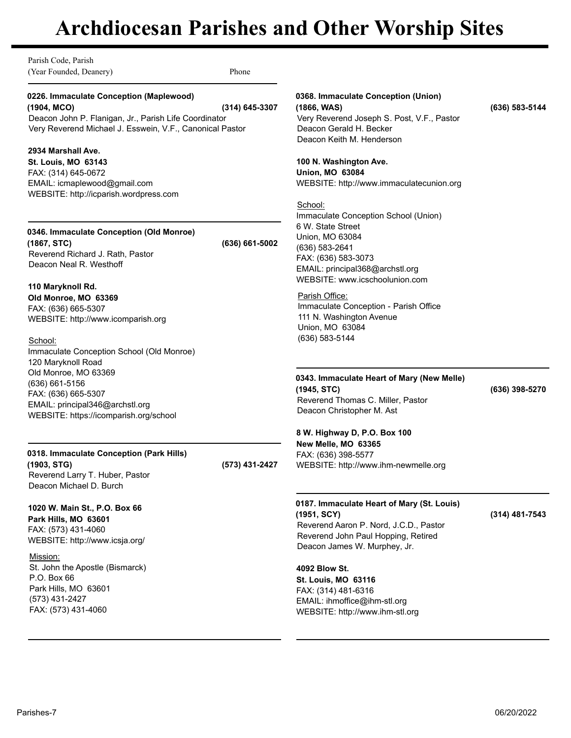Parish Code, Parish (Year Founded, Deanery) Phone

**0226. Immaculate Conception (Maplewood) (1904, MCO) (314) 645-3307** Deacon John P. Flanigan, Jr., Parish Life Coordinator Very Reverend Michael J. Esswein, V.F., Canonical Pastor

### **2934 Marshall Ave.**

**St. Louis, MO 63143** FAX: (314) 645-0672 EMAIL: icmaplewood@gmail.com WEBSITE: http://icparish.wordpress.com

# **0346. Immaculate Conception (Old Monroe) (1867, STC) (636) 661-5002**

Reverend Richard J. Rath, Pastor Deacon Neal R. Westhoff

### **110 Maryknoll Rd. Old Monroe, MO 63369** FAX: (636) 665-5307 WEBSITE: http://www.icomparish.org

School:

Immaculate Conception School (Old Monroe) 120 Maryknoll Road Old Monroe, MO 63369 (636) 661-5156 FAX: (636) 665-5307 EMAIL: principal346@archstl.org WEBSITE: https://icomparish.org/school

### **0318. Immaculate Conception (Park Hills) (1903, STG) (573) 431-2427**

Reverend Larry T. Huber, Pastor Deacon Michael D. Burch

# **1020 W. Main St., P.O. Box 66**

**Park Hills, MO 63601** FAX: (573) 431-4060 WEBSITE: http://www.icsja.org/

## Mission:

St. John the Apostle (Bismarck) P.O. Box 66 Park Hills, MO 63601 (573) 431-2427 FAX: (573) 431-4060

## **0368. Immaculate Conception (Union)**

## **(1866, WAS) (636) 583-5144**

Very Reverend Joseph S. Post, V.F., Pastor Deacon Gerald H. Becker Deacon Keith M. Henderson

# **100 N. Washington Ave.**

**Union, MO 63084** WEBSITE: http://www.immaculatecunion.org

### School:

Immaculate Conception School (Union) 6 W. State Street Union, MO 63084 (636) 583-2641 FAX: (636) 583-3073 EMAIL: principal368@archstl.org WEBSITE: www.icschoolunion.com

### Parish Office:

Immaculate Conception - Parish Office 111 N. Washington Avenue Union, MO 63084 (636) 583-5144

### **0343. Immaculate Heart of Mary (New Melle) (1945, STC) (636) 398-5270** Reverend Thomas C. Miller, Pastor Deacon Christopher M. Ast

# **8 W. Highway D, P.O. Box 100 New Melle, MO 63365** FAX: (636) 398-5577

WEBSITE: http://www.ihm-newmelle.org

### **0187. Immaculate Heart of Mary (St. Louis) (1951, SCY) (314) 481-7543** Reverend Aaron P. Nord, J.C.D., Pastor Reverend John Paul Hopping, Retired Deacon James W. Murphey, Jr.

**4092 Blow St. St. Louis, MO 63116** FAX: (314) 481-6316 EMAIL: ihmoffice@ihm-stl.org WEBSITE: http://www.ihm-stl.org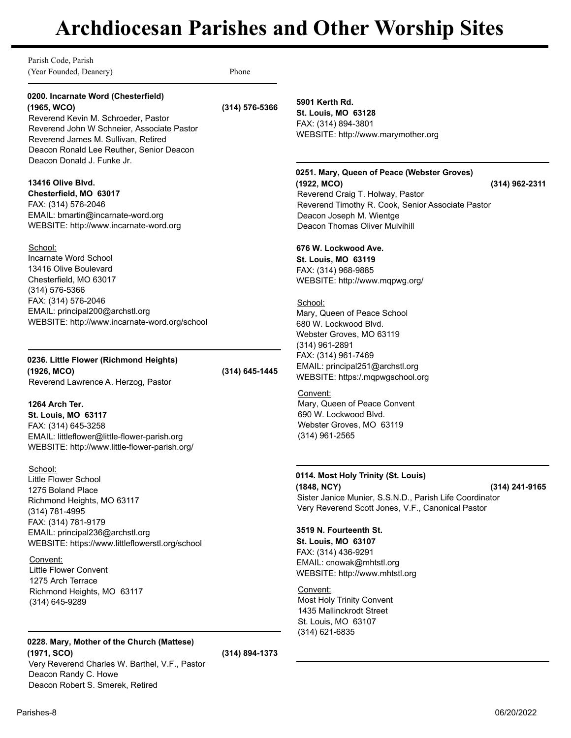Parish Code, Parish (Year Founded, Deanery) Phone

## **0200. Incarnate Word (Chesterfield) (1965, WCO) (314) 576-5366**

Reverend Kevin M. Schroeder, Pastor Reverend John W Schneier, Associate Pastor Reverend James M. Sullivan, Retired Deacon Ronald Lee Reuther, Senior Deacon Deacon Donald J. Funke Jr.

### **13416 Olive Blvd.**

**Chesterfield, MO 63017** FAX: (314) 576-2046 EMAIL: bmartin@incarnate-word.org WEBSITE: http://www.incarnate-word.org

### School:

Incarnate Word School 13416 Olive Boulevard Chesterfield, MO 63017 (314) 576-5366 FAX: (314) 576-2046 EMAIL: principal200@archstl.org WEBSITE: http://www.incarnate-word.org/school

## **0236. Little Flower (Richmond Heights) (1926, MCO) (314) 645-1445**

Reverend Lawrence A. Herzog, Pastor

## **1264 Arch Ter.**

**St. Louis, MO 63117** FAX: (314) 645-3258 EMAIL: littleflower@little-flower-parish.org WEBSITE: http://www.little-flower-parish.org/

### School:

Little Flower School 1275 Boland Place Richmond Heights, MO 63117 (314) 781-4995 FAX: (314) 781-9179 EMAIL: principal236@archstl.org WEBSITE: https://www.littleflowerstl.org/school

### Convent:

Little Flower Convent 1275 Arch Terrace Richmond Heights, MO 63117 (314) 645-9289

# **0228. Mary, Mother of the Church (Mattese)**

**(1971, SCO) (314) 894-1373** Very Reverend Charles W. Barthel, V.F., Pastor Deacon Randy C. Howe Deacon Robert S. Smerek, Retired

**5901 Kerth Rd.**

**St. Louis, MO 63128** FAX: (314) 894-3801 WEBSITE: http://www.marymother.org

# **0251. Mary, Queen of Peace (Webster Groves)**

**(1922, MCO) (314) 962-2311** Reverend Craig T. Holway, Pastor Reverend Timothy R. Cook, Senior Associate Pastor Deacon Joseph M. Wientge Deacon Thomas Oliver Mulvihill

# **676 W. Lockwood Ave.**

**St. Louis, MO 63119** FAX: (314) 968-9885 WEBSITE: http://www.mqpwg.org/

### School:

Mary, Queen of Peace School 680 W. Lockwood Blvd. Webster Groves, MO 63119 (314) 961-2891 FAX: (314) 961-7469 EMAIL: principal251@archstl.org WEBSITE: https:/.mqpwgschool.org

### Convent:

Mary, Queen of Peace Convent 690 W. Lockwood Blvd. Webster Groves, MO 63119 (314) 961-2565

# **0114. Most Holy Trinity (St. Louis)**

**(1848, NCY) (314) 241-9165** Sister Janice Munier, S.S.N.D., Parish Life Coordinator Very Reverend Scott Jones, V.F., Canonical Pastor

## **3519 N. Fourteenth St.**

**St. Louis, MO 63107** FAX: (314) 436-9291 EMAIL: cnowak@mhtstl.org WEBSITE: http://www.mhtstl.org

### Convent:

Most Holy Trinity Convent 1435 Mallinckrodt Street St. Louis, MO 63107 (314) 621-6835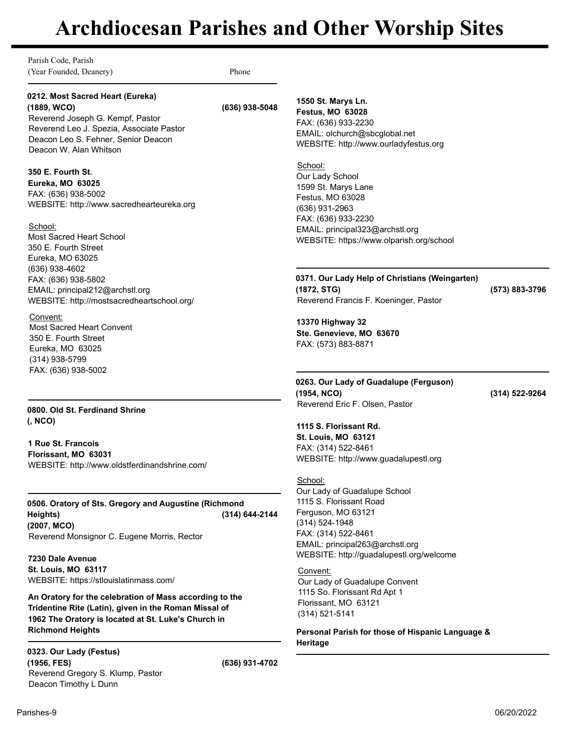Parish Code, Parish (Year Founded, Deanery) Phone **0212. Most Sacred Heart (Eureka) (1889, WCO) (636) 938-5048** Reverend Joseph G. Kempf, Pastor Reverend Leo J. Spezia, Associate Pastor Deacon Leo S. Fehner, Senior Deacon Deacon W. Alan Whitson **350 E. Fourth St. Eureka, MO 63025** FAX: (636) 938-5002 WEBSITE: http://www.sacredhearteureka.org School: Most Sacred Heart School 350 E. Fourth Street Eureka, MO 63025 (636) 938-4602 FAX: (636) 938-5802 EMAIL: principal212@archstl.org WEBSITE: http://mostsacredheartschool.org/ Convent: Most Sacred Heart Convent 350 E. Fourth Street Eureka, MO 63025 (314) 938-5799 FAX: (636) 938-5002 **0800. Old St. Ferdinand Shrine (, NCO) 1 Rue St. Francois Florissant, MO 63031** WEBSITE: http://www.oldstferdinandshrine.com/ **0506. Oratory of Sts. Gregory and Augustine (Richmond Heights) (2007, MCO) (314) 644-2144** Reverend Monsignor C. Eugene Morris, Rector **7230 Dale Avenue St. Louis, MO 63117** WEBSITE: https://stlouislatinmass.com/ **An Oratory for the celebration of Mass according to the Tridentine Rite (Latin), given in the Roman Missal of 1962 The Oratory is located at St. Luke's Church in Richmond Heights 0323. Our Lady (Festus) (1956, FES) (636) 931-4702** Reverend Gregory S. Klump, Pastor Deacon Timothy L Dunn **1550 St. Marys Ln. Festus, MO 63028** FAX: (636) 933-2230 EMAIL: olchurch@sbcglobal.net WEBSITE: http://www.ourladyfestus.org School: Our Lady School 1599 St. Marys Lane Festus, MO 63028 (636) 931-2963 FAX: (636) 933-2230 EMAIL: principal323@archstl.org WEBSITE: https://www.olparish.org/school **0371. Our Lady Help of Christians (Weingarten) (1872, STG) (573) 883-3796** Reverend Francis F. Koeninger, Pastor **13370 Highway 32 Ste. Genevieve, MO 63670** FAX: (573) 883-8871 **0263. Our Lady of Guadalupe (Ferguson) (1954, NCO) (314) 522-9264** Reverend Eric F. Olsen, Pastor **1115 S. Florissant Rd. St. Louis, MO 63121** FAX: (314) 522-8461 WEBSITE: http://www.guadalupestl.org School: Our Lady of Guadalupe School 1115 S. Florissant Road Ferguson, MO 63121 (314) 524-1948 FAX: (314) 522-8461 EMAIL: principal263@archstl.org WEBSITE: http://guadalupestl.org/welcome Convent: Our Lady of Guadalupe Convent 1115 So. Florissant Rd Apt 1 Florissant, MO 63121 (314) 521-5141 **Personal Parish for those of Hispanic Language & Heritage**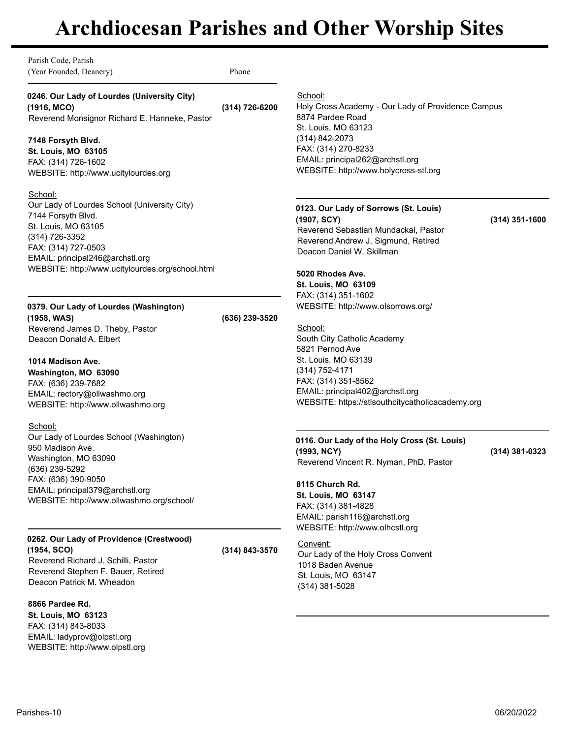Parish Code, Parish (Year Founded, Deanery) Phone

**0246. Our Lady of Lourdes (University City) (1916, MCO) (314) 726-6200** Reverend Monsignor Richard E. Hanneke, Pastor

## **7148 Forsyth Blvd.**

**St. Louis, MO 63105** FAX: (314) 726-1602 WEBSITE: http://www.ucitylourdes.org

School:

Our Lady of Lourdes School (University City) 7144 Forsyth Blvd. St. Louis, MO 63105 (314) 726-3352 FAX: (314) 727-0503 EMAIL: principal246@archstl.org WEBSITE: http://www.ucitylourdes.org/school.html

**0379. Our Lady of Lourdes (Washington)**

**(1958, WAS) (636) 239-3520** Reverend James D. Theby, Pastor Deacon Donald A. Elbert

**1014 Madison Ave. Washington, MO 63090** FAX: (636) 239-7682 EMAIL: rectory@ollwashmo.org WEBSITE: http://www.ollwashmo.org

School: Our Lady of Lourdes School (Washington) 950 Madison Ave. Washington, MO 63090 (636) 239-5292 FAX: (636) 390-9050 EMAIL: principal379@archstl.org WEBSITE: http://www.ollwashmo.org/school/

# **0262. Our Lady of Providence (Crestwood) (1954, SCO) (314) 843-3570**

Reverend Richard J. Schilli, Pastor Reverend Stephen F. Bauer, Retired Deacon Patrick M. Wheadon

**8866 Pardee Rd.**

**St. Louis, MO 63123** FAX: (314) 843-8033 EMAIL: ladyprov@olpstl.org WEBSITE: http://www.olpstl.org School:

Holy Cross Academy - Our Lady of Providence Campus 8874 Pardee Road St. Louis, MO 63123 (314) 842-2073 FAX: (314) 270-8233 EMAIL: principal262@archstl.org WEBSITE: http://www.holycross-stl.org

# **0123. Our Lady of Sorrows (St. Louis)**

**(1907, SCY) (314) 351-1600** Reverend Sebastian Mundackal, Pastor Reverend Andrew J. Sigmund, Retired Deacon Daniel W. Skillman

# **5020 Rhodes Ave.**

**St. Louis, MO 63109** FAX: (314) 351-1602 WEBSITE: http://www.olsorrows.org/

School:

South City Catholic Academy 5821 Pernod Ave St. Louis, MO 63139 (314) 752-4171 FAX: (314) 351-8562 EMAIL: principal402@archstl.org WEBSITE: https://stlsouthcitycatholicacademy.org

## **0116. Our Lady of the Holy Cross (St. Louis) (1993, NCY) (314) 381-0323**

Reverend Vincent R. Nyman, PhD, Pastor

# **8115 Church Rd.**

**St. Louis, MO 63147** FAX: (314) 381-4828 EMAIL: parish116@archstl.org WEBSITE: http://www.olhcstl.org

Convent:

Our Lady of the Holy Cross Convent 1018 Baden Avenue St. Louis, MO 63147 (314) 381-5028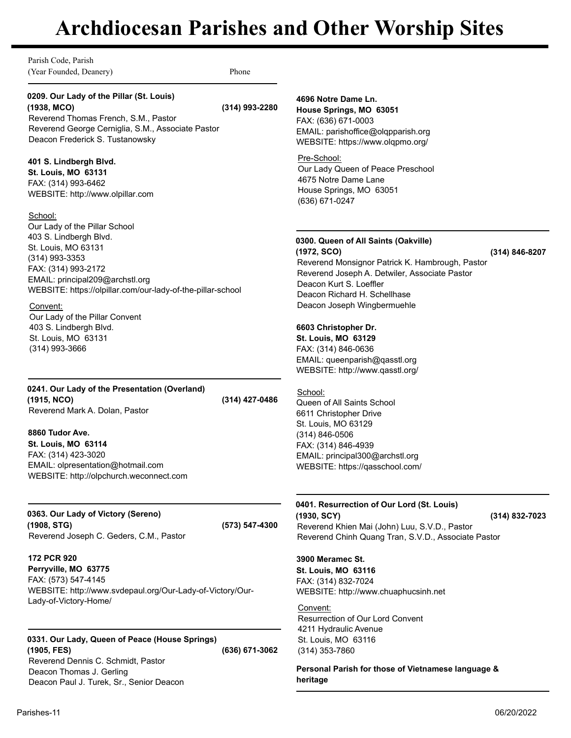Parish Code, Parish (Year Founded, Deanery) Phone

# **0209. Our Lady of the Pillar (St. Louis) (1938, MCO) (314) 993-2280**

Reverend Thomas French, S.M., Pastor Reverend George Cerniglia, S.M., Associate Pastor Deacon Frederick S. Tustanowsky

## **401 S. Lindbergh Blvd.**

**St. Louis, MO 63131** FAX: (314) 993-6462 WEBSITE: http://www.olpillar.com

### School:

Our Lady of the Pillar School 403 S. Lindbergh Blvd. St. Louis, MO 63131 (314) 993-3353 FAX: (314) 993-2172 EMAIL: principal209@archstl.org WEBSITE: https://olpillar.com/our-lady-of-the-pillar-school

### Convent:

Our Lady of the Pillar Convent 403 S. Lindbergh Blvd. St. Louis, MO 63131 (314) 993-3666

### **0241. Our Lady of the Presentation (Overland) (1915, NCO) (314) 427-0486** Reverend Mark A. Dolan, Pastor

## **8860 Tudor Ave. St. Louis, MO 63114** FAX: (314) 423-3020 EMAIL: olpresentation@hotmail.com WEBSITE: http://olpchurch.weconnect.com

**0363. Our Lady of Victory (Sereno) (1908, STG) (573) 547-4300** Reverend Joseph C. Geders, C.M., Pastor

# **172 PCR 920**

**Perryville, MO 63775** FAX: (573) 547-4145 WEBSITE: http://www.svdepaul.org/Our-Lady-of-Victory/Our-Lady-of-Victory-Home/

# **0331. Our Lady, Queen of Peace (House Springs)**

**(1905, FES) (636) 671-3062** Reverend Dennis C. Schmidt, Pastor Deacon Thomas J. Gerling Deacon Paul J. Turek, Sr., Senior Deacon

# **4696 Notre Dame Ln.**

**House Springs, MO 63051** FAX: (636) 671-0003 EMAIL: parishoffice@olqpparish.org WEBSITE: https://www.olqpmo.org/

# Pre-School:

Our Lady Queen of Peace Preschool 4675 Notre Dame Lane House Springs, MO 63051 (636) 671-0247

# **0300. Queen of All Saints (Oakville)**

**(1972, SCO) (314) 846-8207** Reverend Monsignor Patrick K. Hambrough, Pastor Reverend Joseph A. Detwiler, Associate Pastor Deacon Kurt S. Loeffler Deacon Richard H. Schellhase Deacon Joseph Wingbermuehle

# **6603 Christopher Dr.**

**St. Louis, MO 63129** FAX: (314) 846-0636 EMAIL: queenparish@qasstl.org WEBSITE: http://www.qasstl.org/

# School:

Queen of All Saints School 6611 Christopher Drive St. Louis, MO 63129 (314) 846-0506 FAX: (314) 846-4939 EMAIL: principal300@archstl.org WEBSITE: https://qasschool.com/

#### **0401. Resurrection of Our Lord (St. Louis) (1930, SCY) (314) 832-7023**

Reverend Khien Mai (John) Luu, S.V.D., Pastor Reverend Chinh Quang Tran, S.V.D., Associate Pastor

# **3900 Meramec St.**

**St. Louis, MO 63116** FAX: (314) 832-7024 WEBSITE: http://www.chuaphucsinh.net

# Convent:

Resurrection of Our Lord Convent 4211 Hydraulic Avenue St. Louis, MO 63116 (314) 353-7860

**Personal Parish for those of Vietnamese language & heritage**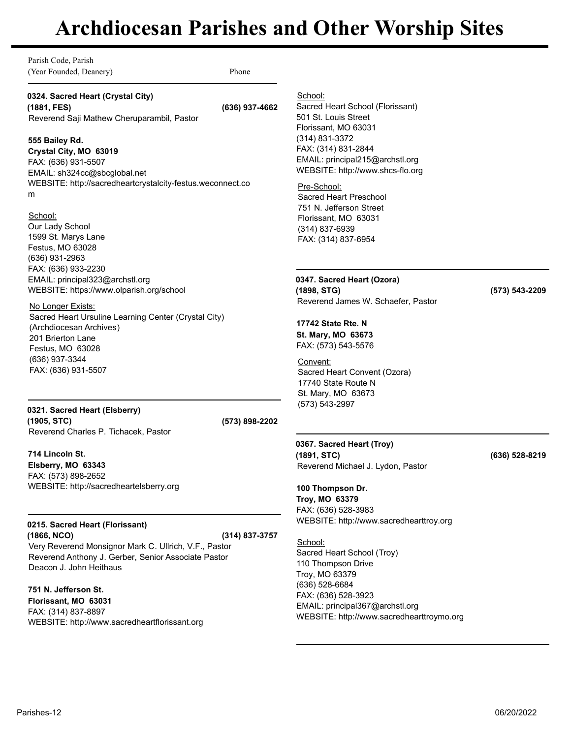| Parish Code, Parish<br>(Year Founded, Deanery)                                                                                                                                                                                                                                                                    | Phone          |                                                                                                                                                                                                                                                                          |                |
|-------------------------------------------------------------------------------------------------------------------------------------------------------------------------------------------------------------------------------------------------------------------------------------------------------------------|----------------|--------------------------------------------------------------------------------------------------------------------------------------------------------------------------------------------------------------------------------------------------------------------------|----------------|
| 0324. Sacred Heart (Crystal City)<br>(1881, FES)<br>Reverend Saji Mathew Cheruparambil, Pastor                                                                                                                                                                                                                    | (636) 937-4662 | School:<br>Sacred Heart School (Florissant)<br>501 St. Louis Street<br>Florissant, MO 63031                                                                                                                                                                              |                |
| 555 Bailey Rd.<br>Crystal City, MO 63019<br>FAX: (636) 931-5507<br>EMAIL: sh324cc@sbcglobal.net<br>WEBSITE: http://sacredheartcrystalcity-festus.weconnect.co<br>m<br>School:                                                                                                                                     |                | (314) 831-3372<br>FAX: (314) 831-2844<br>EMAIL: principal215@archstl.org<br>WEBSITE: http://www.shcs-flo.org<br>Pre-School:<br>Sacred Heart Preschool<br>751 N. Jefferson Street<br>Florissant, MO 63031                                                                 |                |
| Our Lady School<br>1599 St. Marys Lane<br>Festus, MO 63028<br>(636) 931-2963<br>FAX: (636) 933-2230                                                                                                                                                                                                               |                | (314) 837-6939<br>FAX: (314) 837-6954                                                                                                                                                                                                                                    |                |
| EMAIL: principal323@archstl.org<br>WEBSITE: https://www.olparish.org/school                                                                                                                                                                                                                                       |                | 0347. Sacred Heart (Ozora)<br>(1898, STG)<br>Reverend James W. Schaefer, Pastor                                                                                                                                                                                          | (573) 543-2209 |
| No Longer Exists:<br>Sacred Heart Ursuline Learning Center (Crystal City)<br>(Archdiocesan Archives)<br>201 Brierton Lane<br>Festus, MO 63028<br>(636) 937-3344<br>FAX: (636) 931-5507                                                                                                                            |                | 17742 State Rte. N<br>St. Mary, MO 63673<br>FAX: (573) 543-5576<br>Convent:<br>Sacred Heart Convent (Ozora)<br>17740 State Route N                                                                                                                                       |                |
| 0321. Sacred Heart (Elsberry)<br>(1905, STC)                                                                                                                                                                                                                                                                      | (573) 898-2202 | St. Mary, MO 63673<br>(573) 543-2997                                                                                                                                                                                                                                     |                |
| Reverend Charles P. Tichacek, Pastor                                                                                                                                                                                                                                                                              |                | 0367. Sacred Heart (Troy)                                                                                                                                                                                                                                                |                |
| 714 Lincoln St.<br>Elsberry, MO 63343<br>FAX: (573) 898-2652<br>WEBSITE: http://sacredheartelsberry.org                                                                                                                                                                                                           |                | (1891, STC)<br>Reverend Michael J. Lydon, Pastor<br>100 Thompson Dr.<br>Troy, MO 63379                                                                                                                                                                                   | (636) 528-8219 |
| 0215. Sacred Heart (Florissant)<br>(1866, NCO)<br>Very Reverend Monsignor Mark C. Ullrich, V.F., Pastor<br>Reverend Anthony J. Gerber, Senior Associate Pastor<br>Deacon J. John Heithaus<br>751 N. Jefferson St.<br>Florissant, MO 63031<br>FAX: (314) 837-8897<br>WEBSITE: http://www.sacredheartflorissant.org | (314) 837-3757 | FAX: (636) 528-3983<br>WEBSITE: http://www.sacredhearttroy.org<br>School:<br>Sacred Heart School (Troy)<br>110 Thompson Drive<br>Troy, MO 63379<br>(636) 528-6684<br>FAX: (636) 528-3923<br>EMAIL: principal367@archstl.org<br>WEBSITE: http://www.sacredhearttroymo.org |                |
|                                                                                                                                                                                                                                                                                                                   |                |                                                                                                                                                                                                                                                                          |                |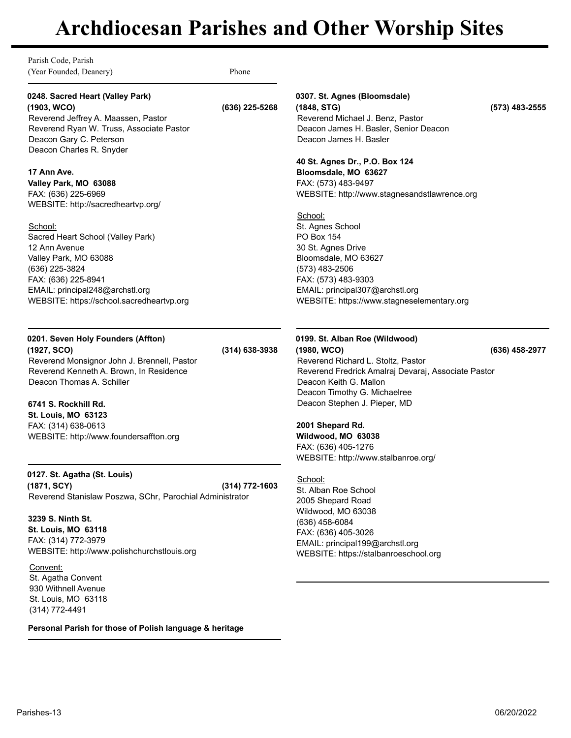Parish Code, Parish (Year Founded, Deanery) Phone

### **0248. Sacred Heart (Valley Park) (1903, WCO) (636) 225-5268**

Reverend Jeffrey A. Maassen, Pastor Reverend Ryan W. Truss, Associate Pastor Deacon Gary C. Peterson Deacon Charles R. Snyder

### **17 Ann Ave.**

**Valley Park, MO 63088** FAX: (636) 225-6969 WEBSITE: http://sacredheartvp.org/

### School:

Sacred Heart School (Valley Park) 12 Ann Avenue Valley Park, MO 63088 (636) 225-3824 FAX: (636) 225-8941 EMAIL: principal248@archstl.org WEBSITE: https://school.sacredheartvp.org

# **0201. Seven Holy Founders (Affton)**

**(1927, SCO) (314) 638-3938** Reverend Monsignor John J. Brennell, Pastor Reverend Kenneth A. Brown, In Residence Deacon Thomas A. Schiller

## **6741 S. Rockhill Rd.**

**St. Louis, MO 63123** FAX: (314) 638-0613 WEBSITE: http://www.foundersaffton.org

**0127. St. Agatha (St. Louis) (1871, SCY) (314) 772-1603** Reverend Stanislaw Poszwa, SChr, Parochial Administrator

**3239 S. Ninth St. St. Louis, MO 63118** FAX: (314) 772-3979 WEBSITE: http://www.polishchurchstlouis.org

Convent: St. Agatha Convent 930 Withnell Avenue St. Louis, MO 63118 (314) 772-4491

**Personal Parish for those of Polish language & heritage**

# **0307. St. Agnes (Bloomsdale)**

**(1848, STG) (573) 483-2555** Reverend Michael J. Benz, Pastor Deacon James H. Basler, Senior Deacon Deacon James H. Basler

#### **40 St. Agnes Dr., P.O. Box 124 Bloomsdale, MO 63627**

FAX: (573) 483-9497 WEBSITE: http://www.stagnesandstlawrence.org

### School:

St. Agnes School PO Box 154 30 St. Agnes Drive Bloomsdale, MO 63627 (573) 483-2506 FAX: (573) 483-9303 EMAIL: principal307@archstl.org WEBSITE: https://www.stagneselementary.org

# **0199. St. Alban Roe (Wildwood) (1980, WCO) (636) 458-2977** Reverend Richard L. Stoltz, Pastor Reverend Fredrick Amalraj Devaraj, Associate Pastor Deacon Keith G. Mallon

Deacon Timothy G. Michaelree Deacon Stephen J. Pieper, MD

# **2001 Shepard Rd.**

**Wildwood, MO 63038** FAX: (636) 405-1276 WEBSITE: http://www.stalbanroe.org/

## School:

St. Alban Roe School 2005 Shepard Road Wildwood, MO 63038 (636) 458-6084 FAX: (636) 405-3026 EMAIL: principal199@archstl.org WEBSITE: https://stalbanroeschool.org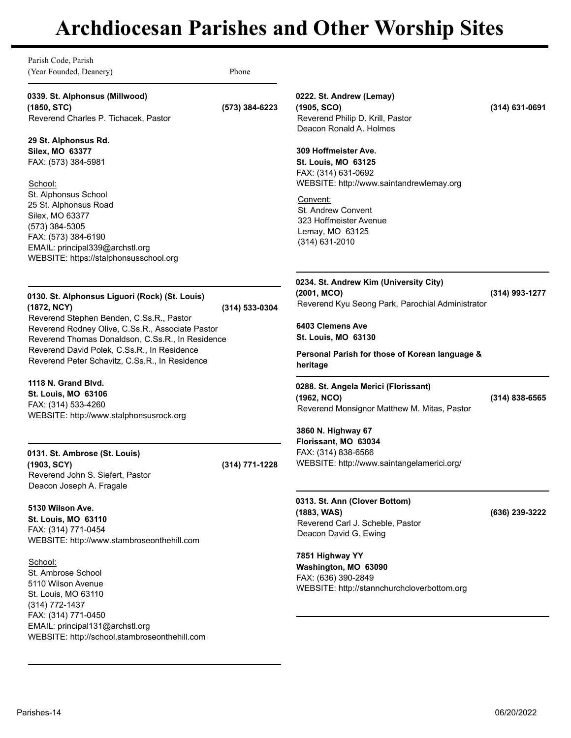| 0339. St. Alphonsus (Millwood)<br>(1850, STC)<br>Reverend Charles P. Tichacek, Pastor<br>29 St. Alphonsus Rd.<br>Silex, MO 63377<br>FAX: (573) 384-5981                                                                                           | (573) 384-6223 | 0222. St. Andrew (Lemay)<br>(1905, SCO)<br>Reverend Philip D. Krill, Pastor<br>Deacon Ronald A. Holmes                | $(314)$ 631-0691   |
|---------------------------------------------------------------------------------------------------------------------------------------------------------------------------------------------------------------------------------------------------|----------------|-----------------------------------------------------------------------------------------------------------------------|--------------------|
|                                                                                                                                                                                                                                                   |                |                                                                                                                       |                    |
| School:                                                                                                                                                                                                                                           |                | 309 Hoffmeister Ave.<br><b>St. Louis, MO 63125</b><br>FAX: (314) 631-0692<br>WEBSITE: http://www.saintandrewlemay.org |                    |
| St. Alphonsus School<br>25 St. Alphonsus Road<br>Silex, MO 63377<br>(573) 384-5305<br>FAX: (573) 384-6190<br>EMAIL: principal339@archstl.org<br>WEBSITE: https://stalphonsusschool.org                                                            |                | Convent:<br><b>St. Andrew Convent</b><br>323 Hoffmeister Avenue<br>Lemay, MO 63125<br>(314) 631-2010                  |                    |
| 0130. St. Alphonsus Liguori (Rock) (St. Louis)<br>(1872, NCY)                                                                                                                                                                                     | (314) 533-0304 | 0234. St. Andrew Kim (University City)<br>(2001, MCO)<br>Reverend Kyu Seong Park, Parochial Administrator             | (314) 993-1277     |
| Reverend Stephen Benden, C.Ss.R., Pastor<br>Reverend Rodney Olive, C.Ss.R., Associate Pastor<br>Reverend Thomas Donaldson, C.Ss.R., In Residence<br>Reverend David Polek, C.Ss.R., In Residence<br>Reverend Peter Schavitz, C.Ss.R., In Residence |                | 6403 Clemens Ave<br><b>St. Louis, MO 63130</b><br>Personal Parish for those of Korean language &<br>heritage          |                    |
| 1118 N. Grand Blyd.<br>St. Louis, MO 63106<br>FAX: (314) 533-4260<br>WEBSITE: http://www.stalphonsusrock.org                                                                                                                                      |                | 0288. St. Angela Merici (Florissant)<br>(1962, NCO)<br>Reverend Monsignor Matthew M. Mitas, Pastor                    | $(314) 838 - 6565$ |
| 0131. St. Ambrose (St. Louis)<br>(1903, SCY)<br>Reverend John S. Siefert, Pastor<br>Deacon Joseph A. Fragale                                                                                                                                      | (314) 771-1228 | 3860 N. Highway 67<br>Florissant, MO 63034<br>FAX: (314) 838-6566<br>WEBSITE: http://www.saintangelamerici.org/       |                    |
| 5130 Wilson Ave.<br><b>St. Louis, MO 63110</b><br>FAX: (314) 771-0454<br>WEBSITE: http://www.stambroseonthehill.com                                                                                                                               |                | 0313. St. Ann (Clover Bottom)<br>(1883, WAS)<br>Reverend Carl J. Scheble, Pastor<br>Deacon David G. Ewing             | (636) 239-3222     |
| School:<br>St. Ambrose School<br>5110 Wilson Avenue<br>St. Louis, MO 63110<br>(314) 772-1437                                                                                                                                                      |                | 7851 Highway YY<br>Washington, MO 63090<br>FAX: (636) 390-2849<br>WEBSITE: http://stannchurchcloverbottom.org         |                    |
| FAX: (314) 771-0450<br>EMAIL: principal131@archstl.org<br>WEBSITE: http://school.stambroseonthehill.com                                                                                                                                           |                |                                                                                                                       |                    |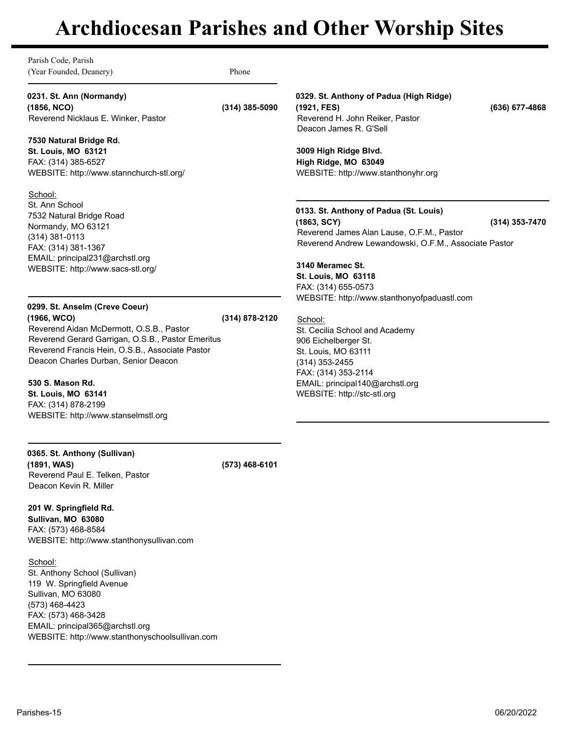Parish Code, Parish (Year Founded, Deanery) Phone

**0231. St. Ann (Normandy)**

**(1856, NCO) (314) 385-5090** Reverend Nicklaus E. Winker, Pastor

## **7530 Natural Bridge Rd.**

**St. Louis, MO 63121** FAX: (314) 385-6527 WEBSITE: http://www.stannchurch-stl.org/

### School:

St. Ann School 7532 Natural Bridge Road Normandy, MO 63121 (314) 381-0113 FAX: (314) 381-1367 EMAIL: principal231@archstl.org WEBSITE: http://www.sacs-stl.org/

# **0299. St. Anselm (Creve Coeur)**

**(1966, WCO) (314) 878-2120** Reverend Aidan McDermott, O.S.B., Pastor Reverend Gerard Garrigan, O.S.B., Pastor Emeritus Reverend Francis Hein, O.S.B., Associate Pastor Deacon Charles Durban, Senior Deacon

**530 S. Mason Rd.**

**St. Louis, MO 63141** FAX: (314) 878-2199 WEBSITE: http://www.stanselmstl.org

# **0365. St. Anthony (Sullivan)**

**(1891, WAS) (573) 468-6101** Reverend Paul E. Telken, Pastor Deacon Kevin R. Miller

## **201 W. Springfield Rd.**

**Sullivan, MO 63080** FAX: (573) 468-8584 WEBSITE: http://www.stanthonysullivan.com

## School:

St. Anthony School (Sullivan) 119 W. Springfield Avenue Sullivan, MO 63080 (573) 468-4423 FAX: (573) 468-3428 EMAIL: principal365@archstl.org WEBSITE: http://www.stanthonyschoolsullivan.com **0329. St. Anthony of Padua (High Ridge) (1921, FES) (636) 677-4868** Reverend H. John Reiker, Pastor

Deacon James R. G'Sell

## **3009 High Ridge Blvd. High Ridge, MO 63049** WEBSITE: http://www.stanthonyhr.org

# **0133. St. Anthony of Padua (St. Louis) (1863, SCY) (314) 353-7470**

Reverend James Alan Lause, O.F.M., Pastor Reverend Andrew Lewandowski, O.F.M., Associate Pastor

**3140 Meramec St. St. Louis, MO 63118** FAX: (314) 655-0573 WEBSITE: http://www.stanthonyofpaduastl.com

School: St. Cecilia School and Academy 906 Eichelberger St. St. Louis, MO 63111 (314) 353-2455 FAX: (314) 353-2114 EMAIL: principal140@archstl.org WEBSITE: http://stc-stl.org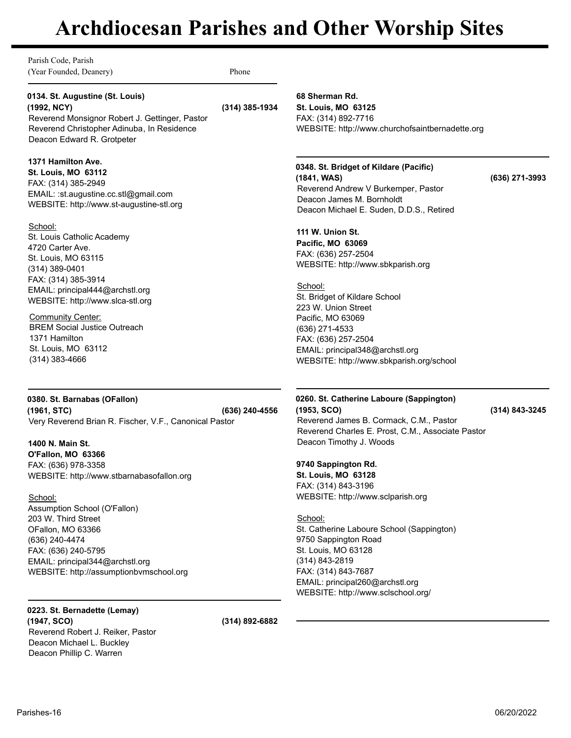Parish Code, Parish (Year Founded, Deanery) Phone

### **0134. St. Augustine (St. Louis) (1992, NCY) (314) 385-1934**

Reverend Monsignor Robert J. Gettinger, Pastor Reverend Christopher Adinuba, In Residence Deacon Edward R. Grotpeter

### **1371 Hamilton Ave.**

**St. Louis, MO 63112** FAX: (314) 385-2949 EMAIL: :st.augustine.cc.stl@gmail.com WEBSITE: http://www.st-augustine-stl.org

### School:

St. Louis Catholic Academy 4720 Carter Ave. St. Louis, MO 63115 (314) 389-0401 FAX: (314) 385-3914 EMAIL: principal444@archstl.org WEBSITE: http://www.slca-stl.org

Community Center: BREM Social Justice Outreach 1371 Hamilton St. Louis, MO 63112 (314) 383-4666

**0380. St. Barnabas (OFallon) (1961, STC) (636) 240-4556** Very Reverend Brian R. Fischer, V.F., Canonical Pastor

**1400 N. Main St. O'Fallon, MO 63366** FAX: (636) 978-3358 WEBSITE: http://www.stbarnabasofallon.org

School: Assumption School (O'Fallon) 203 W. Third Street OFallon, MO 63366 (636) 240-4474 FAX: (636) 240-5795 EMAIL: principal344@archstl.org WEBSITE: http://assumptionbvmschool.org

**0223. St. Bernadette (Lemay) (1947, SCO) (314) 892-6882** Reverend Robert J. Reiker, Pastor Deacon Michael L. Buckley Deacon Phillip C. Warren

**68 Sherman Rd. St. Louis, MO 63125** FAX: (314) 892-7716 WEBSITE: http://www.churchofsaintbernadette.org

**0348. St. Bridget of Kildare (Pacific) (1841, WAS) (636) 271-3993** Reverend Andrew V Burkemper, Pastor Deacon James M. Bornholdt Deacon Michael E. Suden, D.D.S., Retired

**111 W. Union St. Pacific, MO 63069** FAX: (636) 257-2504 WEBSITE: http://www.sbkparish.org

School: St. Bridget of Kildare School 223 W. Union Street Pacific, MO 63069 (636) 271-4533 FAX: (636) 257-2504 EMAIL: principal348@archstl.org WEBSITE: http://www.sbkparish.org/school

**0260. St. Catherine Laboure (Sappington) (1953, SCO) (314) 843-3245** Reverend James B. Cormack, C.M., Pastor Reverend Charles E. Prost, C.M., Associate Pastor Deacon Timothy J. Woods

## **9740 Sappington Rd.**

**St. Louis, MO 63128** FAX: (314) 843-3196 WEBSITE: http://www.sclparish.org

School: St. Catherine Laboure School (Sappington) 9750 Sappington Road St. Louis, MO 63128 (314) 843-2819 FAX: (314) 843-7687 EMAIL: principal260@archstl.org WEBSITE: http://www.sclschool.org/

Parishes-16 06/20/2022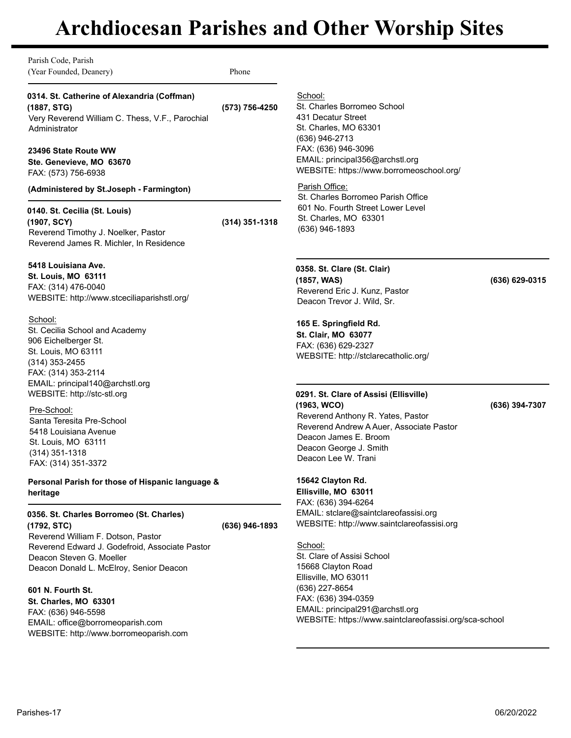| School:<br>0314. St. Catherine of Alexandria (Coffman)<br>St. Charles Borromeo School<br>(1887, STG)<br>(573) 756-4250<br>431 Decatur Street<br>Very Reverend William C. Thess, V.F., Parochial<br>St. Charles, MO 63301<br>Administrator<br>(636) 946-2713<br>FAX: (636) 946-3096<br>23496 State Route WW<br>EMAIL: principal356@archstl.org<br>Ste. Genevieve, MO 63670<br>WEBSITE: https://www.borromeoschool.org/<br>FAX: (573) 756-6938<br>Parish Office:<br>(Administered by St.Joseph - Farmington)<br>St. Charles Borromeo Parish Office<br>601 No. Fourth Street Lower Level<br>0140. St. Cecilia (St. Louis)<br>St. Charles, MO 63301<br>(1907, SCY)<br>(314) 351-1318<br>(636) 946-1893<br>Reverend Timothy J. Noelker, Pastor<br>Reverend James R. Michler, In Residence<br>5418 Louisiana Ave.<br>0358. St. Clare (St. Clair)<br><b>St. Louis, MO 63111</b><br>(1857, WAS)<br>FAX: (314) 476-0040<br>Reverend Eric J. Kunz, Pastor<br>WEBSITE: http://www.stceciliaparishstl.org/<br>Deacon Trevor J. Wild, Sr.<br>School:<br>165 E. Springfield Rd.<br>St. Cecilia School and Academy<br>St. Clair, MO 63077<br>906 Eichelberger St.<br>FAX: (636) 629-2327<br>St. Louis, MO 63111<br>WEBSITE: http://stclarecatholic.org/<br>(314) 353-2455<br>FAX: (314) 353-2114<br>EMAIL: principal140@archstl.org<br>WEBSITE: http://stc-stl.org<br>0291. St. Clare of Assisi (Ellisville)<br>(1963, WCO)<br>Pre-School:<br>Reverend Anthony R. Yates, Pastor<br>Santa Teresita Pre-School<br>Reverend Andrew A Auer, Associate Pastor<br>5418 Louisiana Avenue<br>Deacon James E. Broom<br>St. Louis, MO 63111<br>Deacon George J. Smith<br>$(314)$ 351-1318<br>Deacon Lee W. Trani<br>FAX: (314) 351-3372<br>15642 Clayton Rd.<br>Personal Parish for those of Hispanic language &<br>Ellisville, MO 63011<br>heritage<br>FAX: (636) 394-6264<br>EMAIL: stclare@saintclareofassisi.org<br>0356. St. Charles Borromeo (St. Charles)<br>WEBSITE: http://www.saintclareofassisi.org<br>(1792, STC)<br>(636) 946-1893<br>Reverend William F. Dotson, Pastor<br>School:<br>Reverend Edward J. Godefroid, Associate Pastor<br>St. Clare of Assisi School<br>Deacon Steven G. Moeller | Parish Code, Parish<br>(Year Founded, Deanery) | Phone |                |
|-------------------------------------------------------------------------------------------------------------------------------------------------------------------------------------------------------------------------------------------------------------------------------------------------------------------------------------------------------------------------------------------------------------------------------------------------------------------------------------------------------------------------------------------------------------------------------------------------------------------------------------------------------------------------------------------------------------------------------------------------------------------------------------------------------------------------------------------------------------------------------------------------------------------------------------------------------------------------------------------------------------------------------------------------------------------------------------------------------------------------------------------------------------------------------------------------------------------------------------------------------------------------------------------------------------------------------------------------------------------------------------------------------------------------------------------------------------------------------------------------------------------------------------------------------------------------------------------------------------------------------------------------------------------------------------------------------------------------------------------------------------------------------------------------------------------------------------------------------------------------------------------------------------------------------------------------------------------------------------------------------------------------------------------------------------------------------------------------------------------------------------------------------------------------------------|------------------------------------------------|-------|----------------|
|                                                                                                                                                                                                                                                                                                                                                                                                                                                                                                                                                                                                                                                                                                                                                                                                                                                                                                                                                                                                                                                                                                                                                                                                                                                                                                                                                                                                                                                                                                                                                                                                                                                                                                                                                                                                                                                                                                                                                                                                                                                                                                                                                                                     |                                                |       |                |
|                                                                                                                                                                                                                                                                                                                                                                                                                                                                                                                                                                                                                                                                                                                                                                                                                                                                                                                                                                                                                                                                                                                                                                                                                                                                                                                                                                                                                                                                                                                                                                                                                                                                                                                                                                                                                                                                                                                                                                                                                                                                                                                                                                                     |                                                |       |                |
|                                                                                                                                                                                                                                                                                                                                                                                                                                                                                                                                                                                                                                                                                                                                                                                                                                                                                                                                                                                                                                                                                                                                                                                                                                                                                                                                                                                                                                                                                                                                                                                                                                                                                                                                                                                                                                                                                                                                                                                                                                                                                                                                                                                     |                                                |       |                |
|                                                                                                                                                                                                                                                                                                                                                                                                                                                                                                                                                                                                                                                                                                                                                                                                                                                                                                                                                                                                                                                                                                                                                                                                                                                                                                                                                                                                                                                                                                                                                                                                                                                                                                                                                                                                                                                                                                                                                                                                                                                                                                                                                                                     |                                                |       |                |
|                                                                                                                                                                                                                                                                                                                                                                                                                                                                                                                                                                                                                                                                                                                                                                                                                                                                                                                                                                                                                                                                                                                                                                                                                                                                                                                                                                                                                                                                                                                                                                                                                                                                                                                                                                                                                                                                                                                                                                                                                                                                                                                                                                                     |                                                |       | (636) 629-0315 |
|                                                                                                                                                                                                                                                                                                                                                                                                                                                                                                                                                                                                                                                                                                                                                                                                                                                                                                                                                                                                                                                                                                                                                                                                                                                                                                                                                                                                                                                                                                                                                                                                                                                                                                                                                                                                                                                                                                                                                                                                                                                                                                                                                                                     |                                                |       |                |
|                                                                                                                                                                                                                                                                                                                                                                                                                                                                                                                                                                                                                                                                                                                                                                                                                                                                                                                                                                                                                                                                                                                                                                                                                                                                                                                                                                                                                                                                                                                                                                                                                                                                                                                                                                                                                                                                                                                                                                                                                                                                                                                                                                                     |                                                |       | (636) 394-7307 |
|                                                                                                                                                                                                                                                                                                                                                                                                                                                                                                                                                                                                                                                                                                                                                                                                                                                                                                                                                                                                                                                                                                                                                                                                                                                                                                                                                                                                                                                                                                                                                                                                                                                                                                                                                                                                                                                                                                                                                                                                                                                                                                                                                                                     |                                                |       |                |
|                                                                                                                                                                                                                                                                                                                                                                                                                                                                                                                                                                                                                                                                                                                                                                                                                                                                                                                                                                                                                                                                                                                                                                                                                                                                                                                                                                                                                                                                                                                                                                                                                                                                                                                                                                                                                                                                                                                                                                                                                                                                                                                                                                                     |                                                |       |                |
| 15668 Clayton Road<br>Deacon Donald L. McElroy, Senior Deacon<br>Ellisville, MO 63011                                                                                                                                                                                                                                                                                                                                                                                                                                                                                                                                                                                                                                                                                                                                                                                                                                                                                                                                                                                                                                                                                                                                                                                                                                                                                                                                                                                                                                                                                                                                                                                                                                                                                                                                                                                                                                                                                                                                                                                                                                                                                               |                                                |       |                |
| (636) 227-8654<br>601 N. Fourth St.<br>FAX: (636) 394-0359<br><b>St. Charles, MO 63301</b><br>EMAIL: principal291@archstl.org<br>FAX: (636) 946-5598<br>WEBSITE: https://www.saintclareofassisi.org/sca-school<br>EMAIL: office@borromeoparish.com<br>WEBSITE: http://www.borromeoparish.com                                                                                                                                                                                                                                                                                                                                                                                                                                                                                                                                                                                                                                                                                                                                                                                                                                                                                                                                                                                                                                                                                                                                                                                                                                                                                                                                                                                                                                                                                                                                                                                                                                                                                                                                                                                                                                                                                        |                                                |       |                |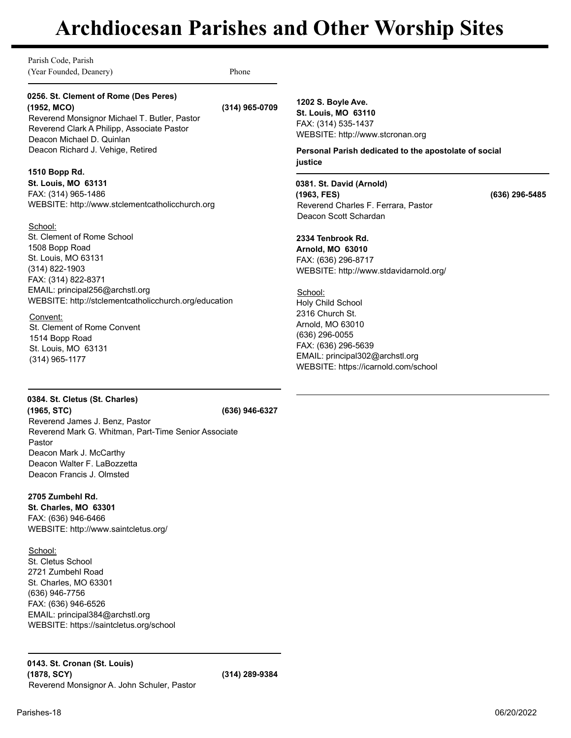Parish Code, Parish (Year Founded, Deanery) Phone

### **0256. St. Clement of Rome (Des Peres) (1952, MCO) (314) 965-0709**

Reverend Monsignor Michael T. Butler, Pastor Reverend Clark A Philipp, Associate Pastor Deacon Michael D. Quinlan Deacon Richard J. Vehige, Retired

# **1510 Bopp Rd.**

**St. Louis, MO 63131** FAX: (314) 965-1486 WEBSITE: http://www.stclementcatholicchurch.org

# School:

St. Clement of Rome School 1508 Bopp Road St. Louis, MO 63131 (314) 822-1903 FAX: (314) 822-8371 EMAIL: principal256@archstl.org WEBSITE: http://stclementcatholicchurch.org/education

## Convent:

St. Clement of Rome Convent 1514 Bopp Road St. Louis, MO 63131 (314) 965-1177

**1202 S. Boyle Ave. St. Louis, MO 63110** FAX: (314) 535-1437 WEBSITE: http://www.stcronan.org

**Personal Parish dedicated to the apostolate of social justice**

**0381. St. David (Arnold) (1963, FES) (636) 296-5485** Reverend Charles F. Ferrara, Pastor Deacon Scott Schardan

### **2334 Tenbrook Rd.**

**Arnold, MO 63010** FAX: (636) 296-8717 WEBSITE: http://www.stdavidarnold.org/

School: Holy Child School 2316 Church St. Arnold, MO 63010 (636) 296-0055 FAX: (636) 296-5639 EMAIL: principal302@archstl.org WEBSITE: https://icarnold.com/school

# **0384. St. Cletus (St. Charles) (1965, STC) (636) 946-6327** Reverend James J. Benz, Pastor

Reverend Mark G. Whitman, Part-Time Senior Associate Pastor Deacon Mark J. McCarthy Deacon Walter F. LaBozzetta Deacon Francis J. Olmsted

# **2705 Zumbehl Rd.**

**St. Charles, MO 63301** FAX: (636) 946-6466 WEBSITE: http://www.saintcletus.org/

School: St. Cletus School 2721 Zumbehl Road St. Charles, MO 63301 (636) 946-7756 FAX: (636) 946-6526 EMAIL: principal384@archstl.org WEBSITE: https://saintcletus.org/school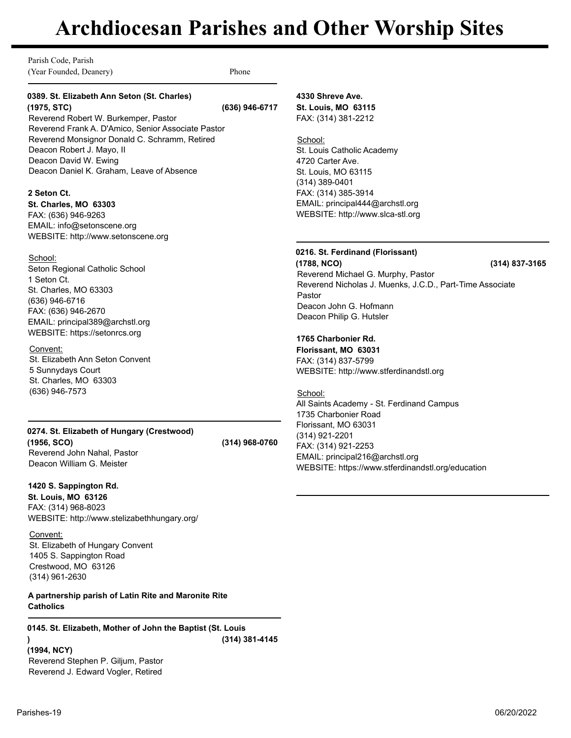Parish Code, Parish (Year Founded, Deanery) Phone

## **0389. St. Elizabeth Ann Seton (St. Charles) (1975, STC) (636) 946-6717**

Reverend Robert W. Burkemper, Pastor Reverend Frank A. D'Amico, Senior Associate Pastor Reverend Monsignor Donald C. Schramm, Retired Deacon Robert J. Mayo, II Deacon David W. Ewing Deacon Daniel K. Graham, Leave of Absence

### **2 Seton Ct.**

**St. Charles, MO 63303** FAX: (636) 946-9263 EMAIL: info@setonscene.org WEBSITE: http://www.setonscene.org

### School:

Seton Regional Catholic School 1 Seton Ct. St. Charles, MO 63303 (636) 946-6716 FAX: (636) 946-2670 EMAIL: principal389@archstl.org WEBSITE: https://setonrcs.org

## Convent:

St. Elizabeth Ann Seton Convent 5 Sunnydays Court St. Charles, MO 63303 (636) 946-7573

### **0274. St. Elizabeth of Hungary (Crestwood) (1956, SCO) (314) 968-0760** Reverend John Nahal, Pastor Deacon William G. Meister

# **1420 S. Sappington Rd.**

**St. Louis, MO 63126** FAX: (314) 968-8023 WEBSITE: http://www.stelizabethhungary.org/

Convent: St. Elizabeth of Hungary Convent 1405 S. Sappington Road Crestwood, MO 63126 (314) 961-2630

# **A partnership parish of Latin Rite and Maronite Rite Catholics**

**0145. St. Elizabeth, Mother of John the Baptist (St. Louis ) (1994, NCY) (314) 381-4145** Reverend Stephen P. Giljum, Pastor Reverend J. Edward Vogler, Retired

# **4330 Shreve Ave. St. Louis, MO 63115** FAX: (314) 381-2212

School: St. Louis Catholic Academy 4720 Carter Ave. St. Louis, MO 63115 (314) 389-0401 FAX: (314) 385-3914 EMAIL: principal444@archstl.org WEBSITE: http://www.slca-stl.org

# **0216. St. Ferdinand (Florissant)**

**(1788, NCO) (314) 837-3165** Reverend Michael G. Murphy, Pastor Reverend Nicholas J. Muenks, J.C.D., Part-Time Associate Pastor Deacon John G. Hofmann Deacon Philip G. Hutsler

# **1765 Charbonier Rd.**

**Florissant, MO 63031** FAX: (314) 837-5799 WEBSITE: http://www.stferdinandstl.org

School: All Saints Academy - St. Ferdinand Campus 1735 Charbonier Road Florissant, MO 63031 (314) 921-2201 FAX: (314) 921-2253 EMAIL: principal216@archstl.org WEBSITE: https://www.stferdinandstl.org/education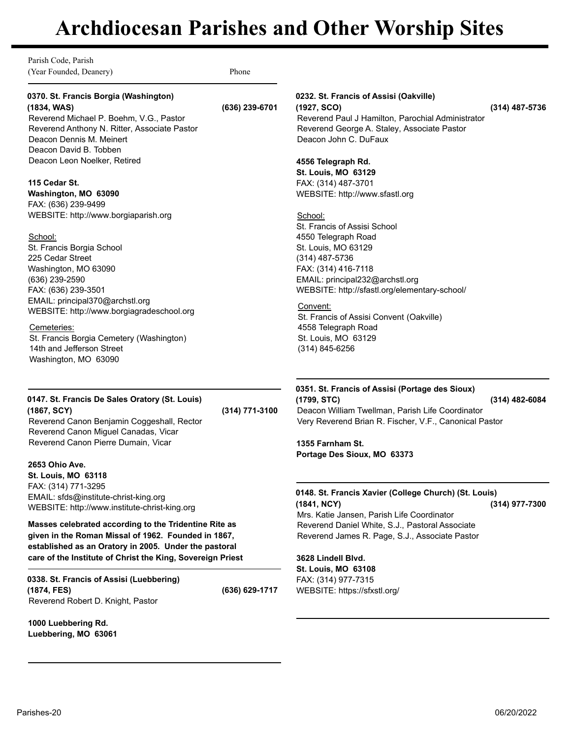Parish Code, Parish (Year Founded, Deanery) Phone

### **0370. St. Francis Borgia (Washington) (1834, WAS) (636) 239-6701**

Reverend Michael P. Boehm, V.G., Pastor Reverend Anthony N. Ritter, Associate Pastor Deacon Dennis M. Meinert Deacon David B. Tobben Deacon Leon Noelker, Retired

### **115 Cedar St.**

**Washington, MO 63090** FAX: (636) 239-9499 WEBSITE: http://www.borgiaparish.org

### School:

St. Francis Borgia School 225 Cedar Street Washington, MO 63090 (636) 239-2590 FAX: (636) 239-3501 EMAIL: principal370@archstl.org WEBSITE: http://www.borgiagradeschool.org

### Cemeteries:

St. Francis Borgia Cemetery (Washington) 14th and Jefferson Street Washington, MO 63090

# **0147. St. Francis De Sales Oratory (St. Louis)**

**(1867, SCY) (314) 771-3100** Reverend Canon Benjamin Coggeshall, Rector Reverend Canon Miguel Canadas, Vicar Reverend Canon Pierre Dumain, Vicar

### **2653 Ohio Ave.**

**St. Louis, MO 63118** FAX: (314) 771-3295 EMAIL: sfds@institute-christ-king.org WEBSITE: http://www.institute-christ-king.org

**Masses celebrated according to the Tridentine Rite as given in the Roman Missal of 1962. Founded in 1867, established as an Oratory in 2005. Under the pastoral care of the Institute of Christ the King, Sovereign Priest**

**0338. St. Francis of Assisi (Luebbering) (1874, FES) (636) 629-1717** Reverend Robert D. Knight, Pastor

**1000 Luebbering Rd. Luebbering, MO 63061** **0232. St. Francis of Assisi (Oakville)**

**(1927, SCO) (314) 487-5736** Reverend Paul J Hamilton, Parochial Administrator Reverend George A. Staley, Associate Pastor Deacon John C. DuFaux

## **4556 Telegraph Rd.**

**St. Louis, MO 63129** FAX: (314) 487-3701 WEBSITE: http://www.sfastl.org

### School:

St. Francis of Assisi School 4550 Telegraph Road St. Louis, MO 63129 (314) 487-5736 FAX: (314) 416-7118 EMAIL: principal232@archstl.org WEBSITE: http://sfastl.org/elementary-school/

# Convent:

St. Francis of Assisi Convent (Oakville) 4558 Telegraph Road St. Louis, MO 63129 (314) 845-6256

### **0351. St. Francis of Assisi (Portage des Sioux) (1799, STC) (314) 482-6084** Deacon William Twellman, Parish Life Coordinator

Very Reverend Brian R. Fischer, V.F., Canonical Pastor

**1355 Farnham St. Portage Des Sioux, MO 63373**

**0148. St. Francis Xavier (College Church) (St. Louis) (1841, NCY) (314) 977-7300** Mrs. Katie Jansen, Parish Life Coordinator Reverend Daniel White, S.J., Pastoral Associate Reverend James R. Page, S.J., Associate Pastor

# **3628 Lindell Blvd. St. Louis, MO 63108**

FAX: (314) 977-7315 WEBSITE: https://sfxstl.org/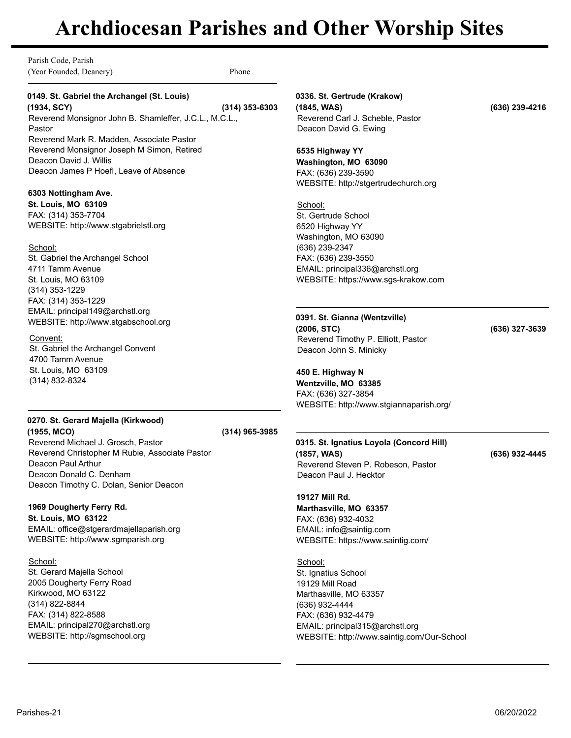Parish Code, Parish (Year Founded, Deanery) Phone

# **0149. St. Gabriel the Archangel (St. Louis)**

**(1934, SCY) (314) 353-6303** Reverend Monsignor John B. Shamleffer, J.C.L., M.C.L., Pastor Reverend Mark R. Madden, Associate Pastor Reverend Monsignor Joseph M Simon, Retired Deacon David J. Willis Deacon James P Hoefl, Leave of Absence

### **6303 Nottingham Ave.**

**St. Louis, MO 63109** FAX: (314) 353-7704 WEBSITE: http://www.stgabrielstl.org

School: St. Gabriel the Archangel School 4711 Tamm Avenue St. Louis, MO 63109 (314) 353-1229 FAX: (314) 353-1229 EMAIL: principal149@archstl.org WEBSITE: http://www.stgabschool.org

### Convent: St. Gabriel the Archangel Convent 4700 Tamm Avenue St. Louis, MO 63109 (314) 832-8324

# **0270. St. Gerard Majella (Kirkwood) (1955, MCO) (314) 965-3985**

Reverend Michael J. Grosch, Pastor Reverend Christopher M Rubie, Associate Pastor Deacon Paul Arthur Deacon Donald C. Denham Deacon Timothy C. Dolan, Senior Deacon

## **1969 Dougherty Ferry Rd.**

**St. Louis, MO 63122** EMAIL: office@stgerardmajellaparish.org WEBSITE: http://www.sgmparish.org

School: St. Gerard Majella School 2005 Dougherty Ferry Road Kirkwood, MO 63122 (314) 822-8844 FAX: (314) 822-8588 EMAIL: principal270@archstl.org WEBSITE: http://sgmschool.org

**0336. St. Gertrude (Krakow) (1845, WAS) (636) 239-4216** Reverend Carl J. Scheble, Pastor Deacon David G. Ewing

**6535 Highway YY Washington, MO 63090** FAX: (636) 239-3590 WEBSITE: http://stgertrudechurch.org

School: St. Gertrude School 6520 Highway YY Washington, MO 63090 (636) 239-2347 FAX: (636) 239-3550 EMAIL: principal336@archstl.org WEBSITE: https://www.sgs-krakow.com

### **0391. St. Gianna (Wentzville)**

**(2006, STC) (636) 327-3639** Reverend Timothy P. Elliott, Pastor Deacon John S. Minicky

**450 E. Highway N Wentzville, MO 63385** FAX: (636) 327-3854 WEBSITE: http://www.stgiannaparish.org/

**0315. St. Ignatius Loyola (Concord Hill) (1857, WAS) (636) 932-4445** Reverend Steven P. Robeson, Pastor Deacon Paul J. Hecktor

**19127 Mill Rd. Marthasville, MO 63357** FAX: (636) 932-4032 EMAIL: info@saintig.com WEBSITE: https://www.saintig.com/

School: St. Ignatius School 19129 Mill Road Marthasville, MO 63357 (636) 932-4444 FAX: (636) 932-4479 EMAIL: principal315@archstl.org WEBSITE: http://www.saintig.com/Our-School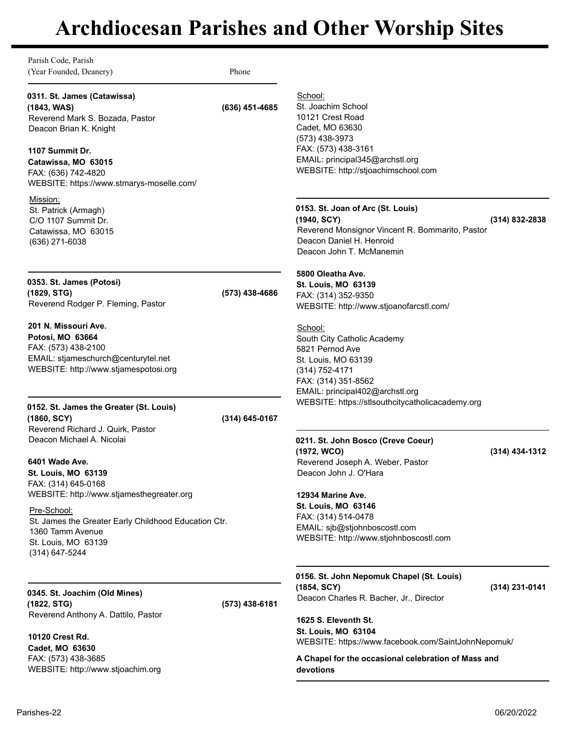| EMAIL: principal345@archstl.org<br>WEBSITE: http://stjoachimschool.com                                                                                                                                                   |  |
|--------------------------------------------------------------------------------------------------------------------------------------------------------------------------------------------------------------------------|--|
| 0153. St. Joan of Arc (St. Louis)<br>$(314) 832 - 2838$<br>Reverend Monsignor Vincent R. Bommarito, Pastor<br>Deacon Daniel H. Henroid<br>Deacon John T. McManemin                                                       |  |
| WEBSITE: http://www.stjoanofarcstl.com/                                                                                                                                                                                  |  |
| South City Catholic Academy<br>EMAIL: principal402@archstl.org                                                                                                                                                           |  |
| WEBSITE: https://stlsouthcitycatholicacademy.org                                                                                                                                                                         |  |
| 0211. St. John Bosco (Creve Coeur)<br>(314) 434-1312<br>Reverend Joseph A. Weber, Pastor                                                                                                                                 |  |
| EMAIL: sjb@stjohnboscostl.com<br>WEBSITE: http://www.stjohnboscostl.com                                                                                                                                                  |  |
| 0156. St. John Nepomuk Chapel (St. Louis)<br>(314) 231-0141                                                                                                                                                              |  |
|                                                                                                                                                                                                                          |  |
| Deacon Charles R. Bacher, Jr., Director<br>1625 S. Eleventh St.<br><b>St. Louis, MO 63104</b><br>WEBSITE: https://www.facebook.com/SaintJohnNepomuk/<br>A Chapel for the occasional celebration of Mass and<br>devotions |  |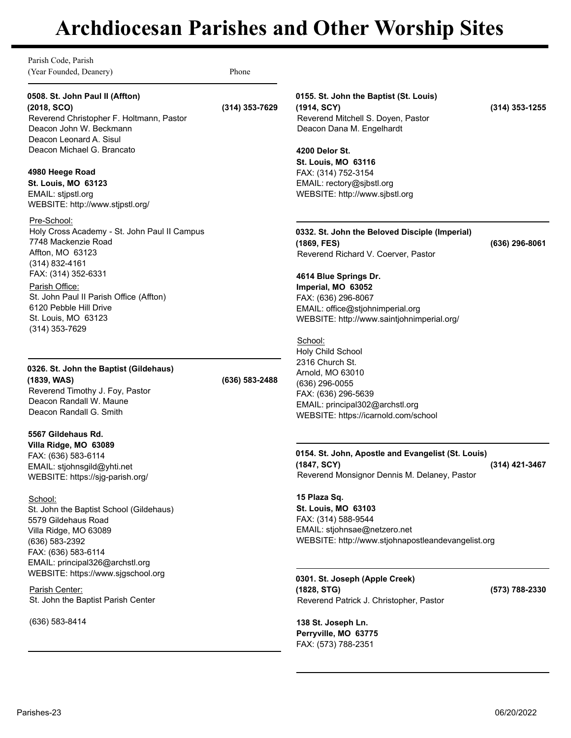Parish Code, Parish (Year Founded, Deanery) Phone

# **0508. St. John Paul II (Affton)**

**(2018, SCO) (314) 353-7629** Reverend Christopher F. Holtmann, Pastor Deacon John W. Beckmann Deacon Leonard A. Sisul Deacon Michael G. Brancato

## **4980 Heege Road**

**St. Louis, MO 63123** EMAIL: stjpstl.org WEBSITE: http://www.stjpstl.org/

Pre-School: Holy Cross Academy - St. John Paul II Campus 7748 Mackenzie Road Affton, MO 63123 (314) 832-4161 FAX: (314) 352-6331 Parish Office: St. John Paul II Parish Office (Affton) 6120 Pebble Hill Drive

St. Louis, MO 63123 (314) 353-7629

**0326. St. John the Baptist (Gildehaus) (1839, WAS) (636) 583-2488** Reverend Timothy J. Foy, Pastor Deacon Randall W. Maune Deacon Randall G. Smith

**5567 Gildehaus Rd. Villa Ridge, MO 63089** FAX: (636) 583-6114 EMAIL: stjohnsgild@yhti.net WEBSITE: https://sjg-parish.org/

School: St. John the Baptist School (Gildehaus) 5579 Gildehaus Road Villa Ridge, MO 63089 (636) 583-2392 FAX: (636) 583-6114 EMAIL: principal326@archstl.org WEBSITE: https://www.sjgschool.org

Parish Center: St. John the Baptist Parish Center

(636) 583-8414

# **0155. St. John the Baptist (St. Louis)**

**(1914, SCY) (314) 353-1255** Reverend Mitchell S. Doyen, Pastor Deacon Dana M. Engelhardt

**4200 Delor St. St. Louis, MO 63116** FAX: (314) 752-3154 EMAIL: rectory@sjbstl.org WEBSITE: http://www.sjbstl.org

**0332. St. John the Beloved Disciple (Imperial) (1869, FES) (636) 296-8061** Reverend Richard V. Coerver, Pastor

**4614 Blue Springs Dr. Imperial, MO 63052** FAX: (636) 296-8067 EMAIL: office@stjohnimperial.org WEBSITE: http://www.saintjohnimperial.org/

School: Holy Child School 2316 Church St. Arnold, MO 63010 (636) 296-0055 FAX: (636) 296-5639 EMAIL: principal302@archstl.org WEBSITE: https://icarnold.com/school

## **0154. St. John, Apostle and Evangelist (St. Louis) (1847, SCY) (314) 421-3467**

Reverend Monsignor Dennis M. Delaney, Pastor

**15 Plaza Sq. St. Louis, MO 63103** FAX: (314) 588-9544 EMAIL: stjohnsae@netzero.net WEBSITE: http://www.stjohnapostleandevangelist.org

**0301. St. Joseph (Apple Creek) (1828, STG) (573) 788-2330** Reverend Patrick J. Christopher, Pastor

**138 St. Joseph Ln. Perryville, MO 63775** FAX: (573) 788-2351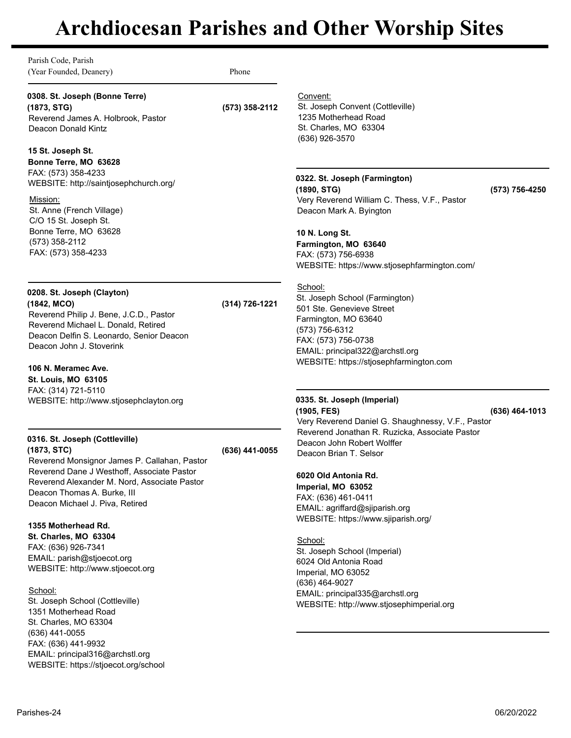| Parish Code, Parish<br>(Year Founded, Deanery)                                                                                                                                                                                                                                                                                                                                                                                                                               | Phone          |                                                                                                                                                                                                                                                                                                                                                                                                                                                                                                                                       |
|------------------------------------------------------------------------------------------------------------------------------------------------------------------------------------------------------------------------------------------------------------------------------------------------------------------------------------------------------------------------------------------------------------------------------------------------------------------------------|----------------|---------------------------------------------------------------------------------------------------------------------------------------------------------------------------------------------------------------------------------------------------------------------------------------------------------------------------------------------------------------------------------------------------------------------------------------------------------------------------------------------------------------------------------------|
| 0308. St. Joseph (Bonne Terre)<br>(1873, STG)<br>Reverend James A. Holbrook, Pastor<br>Deacon Donald Kintz                                                                                                                                                                                                                                                                                                                                                                   | (573) 358-2112 | Convent:<br>St. Joseph Convent (Cottleville)<br>1235 Motherhead Road<br>St. Charles, MO 63304<br>(636) 926-3570                                                                                                                                                                                                                                                                                                                                                                                                                       |
| 15 St. Joseph St.<br>Bonne Terre, MO 63628<br>FAX: (573) 358-4233<br>WEBSITE: http://saintjosephchurch.org/<br>Mission:<br>St. Anne (French Village)<br>C/O 15 St. Joseph St.<br>Bonne Terre, MO 63628<br>(573) 358-2112<br>FAX: (573) 358-4233                                                                                                                                                                                                                              |                | 0322. St. Joseph (Farmington)<br>(1890, STG)<br>(573) 756-4250<br>Very Reverend William C. Thess, V.F., Pastor<br>Deacon Mark A. Byington<br>10 N. Long St.<br>Farmington, MO 63640<br>FAX: (573) 756-6938<br>WEBSITE: https://www.stjosephfarmington.com/                                                                                                                                                                                                                                                                            |
| 0208. St. Joseph (Clayton)<br>(1842, MCO)<br>Reverend Philip J. Bene, J.C.D., Pastor<br>Reverend Michael L. Donald, Retired<br>Deacon Delfin S. Leonardo, Senior Deacon<br>Deacon John J. Stoverink<br>106 N. Meramec Ave.<br>St. Louis, MO 63105<br>FAX: (314) 721-5110<br>WEBSITE: http://www.stjosephclayton.org                                                                                                                                                          | (314) 726-1221 | School:<br>St. Joseph School (Farmington)<br>501 Ste. Genevieve Street<br>Farmington, MO 63640<br>(573) 756-6312<br>FAX: (573) 756-0738<br>EMAIL: principal322@archstl.org<br>WEBSITE: https://stjosephfarmington.com<br>0335. St. Joseph (Imperial)                                                                                                                                                                                                                                                                                  |
| 0316. St. Joseph (Cottleville)<br>(1873, STC)<br>Reverend Monsignor James P. Callahan, Pastor<br>Reverend Dane J Westhoff, Associate Pastor<br>Reverend Alexander M. Nord, Associate Pastor<br>Deacon Thomas A. Burke, III<br>Deacon Michael J. Piva, Retired<br>1355 Motherhead Rd.<br>St. Charles, MO 63304<br>FAX: (636) 926-7341<br>EMAIL: parish@stjoecot.org<br>WEBSITE: http://www.stjoecot.org<br>School:<br>St. Joseph School (Cottleville)<br>1351 Motherhead Road | (636) 441-0055 | (1905, FES)<br>(636) 464-1013<br>Very Reverend Daniel G. Shaughnessy, V.F., Pastor<br>Reverend Jonathan R. Ruzicka, Associate Pastor<br>Deacon John Robert Wolffer<br>Deacon Brian T. Selsor<br>6020 Old Antonia Rd.<br>Imperial, MO 63052<br>FAX: (636) 461-0411<br>EMAIL: agriffard@sjiparish.org<br>WEBSITE: https://www.sjiparish.org/<br>School:<br>St. Joseph School (Imperial)<br>6024 Old Antonia Road<br>Imperial, MO 63052<br>(636) 464-9027<br>EMAIL: principal335@archstl.org<br>WEBSITE: http://www.stjosephimperial.org |
| St. Charles, MO 63304<br>$(636)$ 441-0055<br>FAX: (636) 441-9932<br>EMAIL: principal316@archstl.org<br>WEBSITE: https://stjoecot.org/school                                                                                                                                                                                                                                                                                                                                  |                |                                                                                                                                                                                                                                                                                                                                                                                                                                                                                                                                       |
| Parishes-24                                                                                                                                                                                                                                                                                                                                                                                                                                                                  |                | 06/20/2022                                                                                                                                                                                                                                                                                                                                                                                                                                                                                                                            |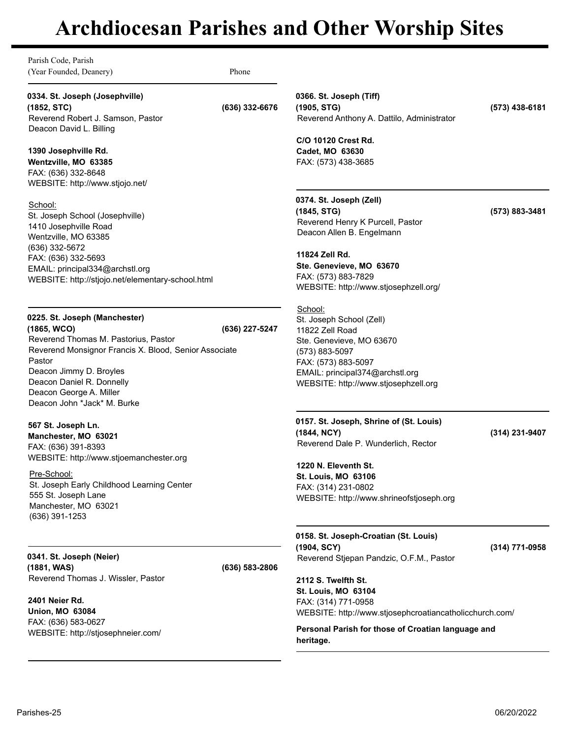Parish Code, Parish (Year Founded, Deanery) Phone

**0334. St. Joseph (Josephville) (1852, STC) (636) 332-6676**

Reverend Robert J. Samson, Pastor Deacon David L. Billing

# **1390 Josephville Rd.**

**Wentzville, MO 63385** FAX: (636) 332-8648 WEBSITE: http://www.stjojo.net/

School:

St. Joseph School (Josephville) 1410 Josephville Road Wentzville, MO 63385 (636) 332-5672 FAX: (636) 332-5693 EMAIL: principal334@archstl.org WEBSITE: http://stjojo.net/elementary-school.html

# **0225. St. Joseph (Manchester)**

**(1865, WCO) (636) 227-5247** Reverend Thomas M. Pastorius, Pastor Reverend Monsignor Francis X. Blood, Senior Associate Pastor Deacon Jimmy D. Broyles Deacon Daniel R. Donnelly Deacon George A. Miller Deacon John \*Jack\* M. Burke

# **567 St. Joseph Ln.**

**Manchester, MO 63021** FAX: (636) 391-8393 WEBSITE: http://www.stjoemanchester.org

Pre-School: St. Joseph Early Childhood Learning Center 555 St. Joseph Lane Manchester, MO 63021 (636) 391-1253

**0341. St. Joseph (Neier) (1881, WAS) (636) 583-2806** Reverend Thomas J. Wissler, Pastor

**2401 Neier Rd. Union, MO 63084** FAX: (636) 583-0627 WEBSITE: http://stjosephneier.com/ **0366. St. Joseph (Tiff) (1905, STG) (573) 438-6181** Reverend Anthony A. Dattilo, Administrator

**C/O 10120 Crest Rd. Cadet, MO 63630** FAX: (573) 438-3685

**0374. St. Joseph (Zell) (1845, STG) (573) 883-3481** Reverend Henry K Purcell, Pastor Deacon Allen B. Engelmann

**11824 Zell Rd. Ste. Genevieve, MO 63670** FAX: (573) 883-7829 WEBSITE: http://www.stjosephzell.org/

School: St. Joseph School (Zell) 11822 Zell Road Ste. Genevieve, MO 63670 (573) 883-5097 FAX: (573) 883-5097 EMAIL: principal374@archstl.org WEBSITE: http://www.stjosephzell.org

**0157. St. Joseph, Shrine of (St. Louis) (1844, NCY) (314) 231-9407** Reverend Dale P. Wunderlich, Rector

**1220 N. Eleventh St. St. Louis, MO 63106** FAX: (314) 231-0802 WEBSITE: http://www.shrineofstjoseph.org

**0158. St. Joseph-Croatian (St. Louis) (1904, SCY) (314) 771-0958** Reverend Stjepan Pandzic, O.F.M., Pastor

**2112 S. Twelfth St. St. Louis, MO 63104** FAX: (314) 771-0958 WEBSITE: http://www.stjosephcroatiancatholicchurch.com/

**Personal Parish for those of Croatian language and** 

**heritage.**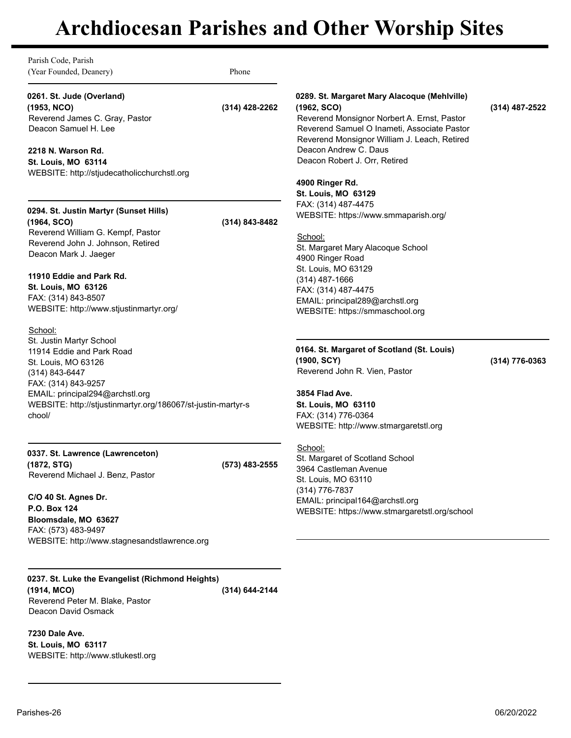Parish Code, Parish (Year Founded, Deanery) Phone

# **0261. St. Jude (Overland)**

**(1953, NCO) (314) 428-2262** Reverend James C. Gray, Pastor Deacon Samuel H. Lee

# **2218 N. Warson Rd.**

**St. Louis, MO 63114** WEBSITE: http://stjudecatholicchurchstl.org

# **0294. St. Justin Martyr (Sunset Hills)**

**(1964, SCO) (314) 843-8482** Reverend William G. Kempf, Pastor Reverend John J. Johnson, Retired Deacon Mark J. Jaeger

## **11910 Eddie and Park Rd.**

**St. Louis, MO 63126** FAX: (314) 843-8507 WEBSITE: http://www.stjustinmartyr.org/

School:

St. Justin Martyr School 11914 Eddie and Park Road St. Louis, MO 63126 (314) 843-6447 FAX: (314) 843-9257 EMAIL: principal294@archstl.org WEBSITE: http://stjustinmartyr.org/186067/st-justin-martyr-s chool/

# **0337. St. Lawrence (Lawrenceton) (1872, STG) (573) 483-2555**

Reverend Michael J. Benz, Pastor

WEBSITE: http://www.stlukestl.org

**C/O 40 St. Agnes Dr. P.O. Box 124 Bloomsdale, MO 63627** FAX: (573) 483-9497 WEBSITE: http://www.stagnesandstlawrence.org

**0237. St. Luke the Evangelist (Richmond Heights) (1914, MCO) (314) 644-2144** Reverend Peter M. Blake, Pastor Deacon David Osmack

**7230 Dale Ave. St. Louis, MO 63117**

# **0289. St. Margaret Mary Alacoque (Mehlville) (1962, SCO) (314) 487-2522**

Reverend Monsignor Norbert A. Ernst, Pastor Reverend Samuel O Inameti, Associate Pastor Reverend Monsignor William J. Leach, Retired Deacon Andrew C. Daus Deacon Robert J. Orr, Retired

# **4900 Ringer Rd.**

**St. Louis, MO 63129** FAX: (314) 487-4475 WEBSITE: https://www.smmaparish.org/

### School:

St. Margaret Mary Alacoque School 4900 Ringer Road St. Louis, MO 63129 (314) 487-1666 FAX: (314) 487-4475 EMAIL: principal289@archstl.org WEBSITE: https://smmaschool.org

# **0164. St. Margaret of Scotland (St. Louis) (1900, SCY) (314) 776-0363**

**3854 Flad Ave. St. Louis, MO 63110** FAX: (314) 776-0364 WEBSITE: http://www.stmargaretstl.org

Reverend John R. Vien, Pastor

School: St. Margaret of Scotland School 3964 Castleman Avenue St. Louis, MO 63110 (314) 776-7837 EMAIL: principal164@archstl.org WEBSITE: https://www.stmargaretstl.org/school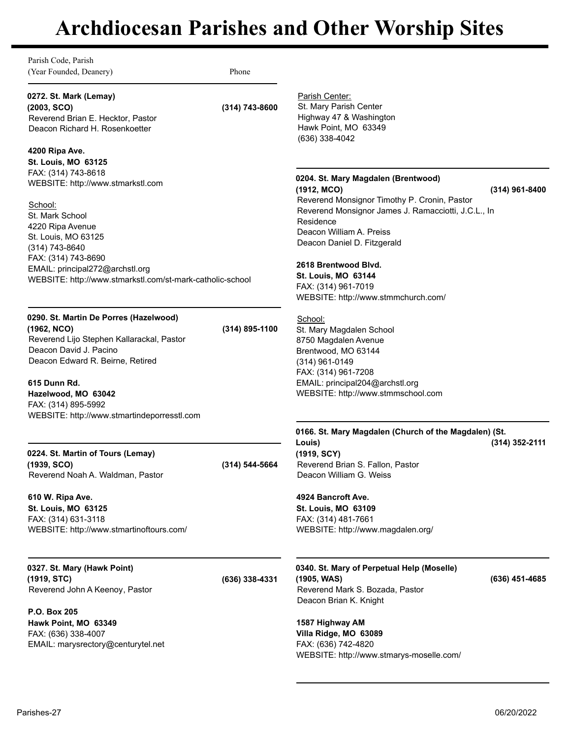Parish Code, Parish (Year Founded, Deanery) Phone

**0272. St. Mark (Lemay)**

**(2003, SCO) (314) 743-8600** Reverend Brian E. Hecktor, Pastor Deacon Richard H. Rosenkoetter

# **4200 Ripa Ave.**

**St. Louis, MO 63125** FAX: (314) 743-8618 WEBSITE: http://www.stmarkstl.com

School: St. Mark School 4220 Ripa Avenue St. Louis, MO 63125 (314) 743-8640 FAX: (314) 743-8690 EMAIL: principal272@archstl.org WEBSITE: http://www.stmarkstl.com/st-mark-catholic-school

# **0290. St. Martin De Porres (Hazelwood)**

**(1962, NCO) (314) 895-1100** Reverend Lijo Stephen Kallarackal, Pastor Deacon David J. Pacino Deacon Edward R. Beirne, Retired

**615 Dunn Rd.**

**Hazelwood, MO 63042** FAX: (314) 895-5992 WEBSITE: http://www.stmartindeporresstl.com

**0224. St. Martin of Tours (Lemay) (1939, SCO) (314) 544-5664** Reverend Noah A. Waldman, Pastor

**610 W. Ripa Ave. St. Louis, MO 63125** FAX: (314) 631-3118 WEBSITE: http://www.stmartinoftours.com/

**0327. St. Mary (Hawk Point) (1919, STC) (636) 338-4331** Reverend John A Keenoy, Pastor

**P.O. Box 205 Hawk Point, MO 63349** FAX: (636) 338-4007 EMAIL: marysrectory@centurytel.net

Parish Center: St. Mary Parish Center Highway 47 & Washington Hawk Point, MO 63349 (636) 338-4042

# **0204. St. Mary Magdalen (Brentwood)**

**(1912, MCO) (314) 961-8400** Reverend Monsignor Timothy P. Cronin, Pastor Reverend Monsignor James J. Ramacciotti, J.C.L., In Residence Deacon William A. Preiss

**2618 Brentwood Blvd. St. Louis, MO 63144**

Deacon Daniel D. Fitzgerald

FAX: (314) 961-7019 WEBSITE: http://www.stmmchurch.com/

School: St. Mary Magdalen School 8750 Magdalen Avenue Brentwood, MO 63144 (314) 961-0149 FAX: (314) 961-7208 EMAIL: principal204@archstl.org WEBSITE: http://www.stmmschool.com

**0166. St. Mary Magdalen (Church of the Magdalen) (St. Louis) (1919, SCY) (314) 352-2111** Reverend Brian S. Fallon, Pastor Deacon William G. Weiss

**4924 Bancroft Ave. St. Louis, MO 63109** FAX: (314) 481-7661 WEBSITE: http://www.magdalen.org/

**0340. St. Mary of Perpetual Help (Moselle) (1905, WAS) (636) 451-4685** Reverend Mark S. Bozada, Pastor Deacon Brian K. Knight

**1587 Highway AM Villa Ridge, MO 63089** FAX: (636) 742-4820 WEBSITE: http://www.stmarys-moselle.com/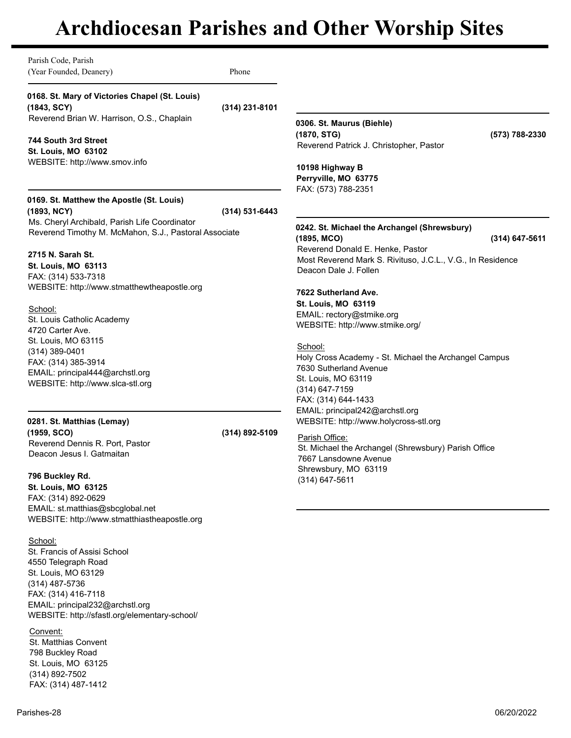| Parish Code, Parish<br>(Year Founded, Deanery)                                                                                                                                                                     | Phone              |                                                                                                                                                                             |                  |
|--------------------------------------------------------------------------------------------------------------------------------------------------------------------------------------------------------------------|--------------------|-----------------------------------------------------------------------------------------------------------------------------------------------------------------------------|------------------|
| 0168. St. Mary of Victories Chapel (St. Louis)<br>(1843, SCY)<br>Reverend Brian W. Harrison, O.S., Chaplain                                                                                                        | (314) 231-8101     |                                                                                                                                                                             |                  |
| 744 South 3rd Street<br>St. Louis, MO 63102<br>WEBSITE: http://www.smov.info                                                                                                                                       |                    | 0306. St. Maurus (Biehle)<br>(1870, STG)<br>Reverend Patrick J. Christopher, Pastor<br>10198 Highway B<br>Perryville, MO 63775<br>FAX: (573) 788-2351                       | (573) 788-2330   |
| 0169. St. Matthew the Apostle (St. Louis)<br>(1893, NCY)                                                                                                                                                           | $(314) 531 - 6443$ |                                                                                                                                                                             |                  |
| Ms. Cheryl Archibald, Parish Life Coordinator<br>Reverend Timothy M. McMahon, S.J., Pastoral Associate                                                                                                             |                    | 0242. St. Michael the Archangel (Shrewsbury)<br>(1895, MCO)<br>Reverend Donald E. Henke, Pastor                                                                             | $(314)$ 647-5611 |
| 2715 N. Sarah St.<br>St. Louis, MO 63113<br>FAX: (314) 533-7318                                                                                                                                                    |                    | Most Reverend Mark S. Rivituso, J.C.L., V.G., In Residence<br>Deacon Dale J. Follen                                                                                         |                  |
| WEBSITE: http://www.stmatthewtheapostle.org                                                                                                                                                                        |                    | 7622 Sutherland Ave.<br>St. Louis, MO 63119                                                                                                                                 |                  |
| School:<br>St. Louis Catholic Academy<br>4720 Carter Ave.                                                                                                                                                          |                    | EMAIL: rectory@stmike.org<br>WEBSITE: http://www.stmike.org/                                                                                                                |                  |
| St. Louis, MO 63115<br>$(314)$ 389-0401<br>FAX: (314) 385-3914<br>EMAIL: principal444@archstl.org<br>WEBSITE: http://www.slca-stl.org                                                                              |                    | School:<br>Holy Cross Academy - St. Michael the Archangel Campus<br>7630 Sutherland Avenue<br>St. Louis, MO 63119<br>(314) 647-7159<br>FAX: (314) 644-1433                  |                  |
| 0281. St. Matthias (Lemay)<br>(1959, SCO)<br>Reverend Dennis R. Port, Pastor<br>Deacon Jesus I. Gatmaitan                                                                                                          | (314) 892-5109     | EMAIL: principal242@archstl.org<br>WEBSITE: http://www.holycross-stl.org<br>Parish Office:<br>St. Michael the Archangel (Shrewsbury) Parish Office<br>7667 Lansdowne Avenue |                  |
| 796 Buckley Rd.<br>St. Louis, MO 63125<br>FAX: (314) 892-0629<br>EMAIL: st.matthias@sbcglobal.net<br>WEBSITE: http://www.stmatthiastheapostle.org                                                                  |                    | Shrewsbury, MO 63119<br>(314) 647-5611                                                                                                                                      |                  |
| School:<br>St. Francis of Assisi School<br>4550 Telegraph Road<br>St. Louis, MO 63129<br>(314) 487-5736<br>FAX: (314) 416-7118<br>EMAIL: principal232@archstl.org<br>WEBSITE: http://sfastl.org/elementary-school/ |                    |                                                                                                                                                                             |                  |
| Convent:<br>St. Matthias Convent<br>798 Buckley Road<br>St. Louis, MO 63125                                                                                                                                        |                    |                                                                                                                                                                             |                  |

(314) 892-7502 FAX: (314) 487-1412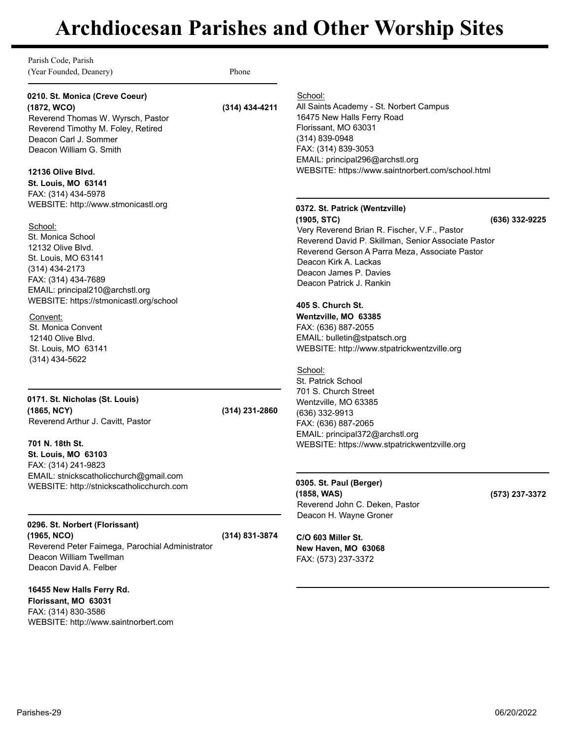Parish Code, Parish (Year Founded, Deanery) Phone

### **0210. St. Monica (Creve Coeur) (1872, WCO) (314) 434-4211**

Reverend Thomas W. Wyrsch, Pastor Reverend Timothy M. Foley, Retired Deacon Carl J. Sommer Deacon William G. Smith

## **12136 Olive Blvd.**

**St. Louis, MO 63141** FAX: (314) 434-5978 WEBSITE: http://www.stmonicastl.org

### School:

St. Monica School 12132 Olive Blvd. St. Louis, MO 63141 (314) 434-2173 FAX: (314) 434-7689 EMAIL: principal210@archstl.org WEBSITE: https://stmonicastl.org/school

### Convent:

St. Monica Convent 12140 Olive Blvd. St. Louis, MO 63141 (314) 434-5622

### **0171. St. Nicholas (St. Louis) (1865, NCY) (314) 231-2860** Reverend Arthur J. Cavitt, Pastor

**701 N. 18th St. St. Louis, MO 63103** FAX: (314) 241-9823 EMAIL: stnickscatholicchurch@gmail.com WEBSITE: http://stnickscatholicchurch.com

# **0296. St. Norbert (Florissant) (1965, NCO) (314) 831-3874**

Reverend Peter Faimega, Parochial Administrator Deacon William Twellman Deacon David A. Felber

## **16455 New Halls Ferry Rd.**

**Florissant, MO 63031** FAX: (314) 830-3586 WEBSITE: http://www.saintnorbert.com

# School:

All Saints Academy - St. Norbert Campus 16475 New Halls Ferry Road Florissant, MO 63031 (314) 839-0948 FAX: (314) 839-3053 EMAIL: principal296@archstl.org WEBSITE: https://www.saintnorbert.com/school.html

# **0372. St. Patrick (Wentzville)**

**(1905, STC) (636) 332-9225** Very Reverend Brian R. Fischer, V.F., Pastor Reverend David P. Skillman, Senior Associate Pastor Reverend Gerson A Parra Meza, Associate Pastor Deacon Kirk A. Lackas Deacon James P. Davies Deacon Patrick J. Rankin

# **405 S. Church St.**

**Wentzville, MO 63385** FAX: (636) 887-2055 EMAIL: bulletin@stpatsch.org WEBSITE: http://www.stpatrickwentzville.org

## School:

St. Patrick School 701 S. Church Street Wentzville, MO 63385 (636) 332-9913 FAX: (636) 887-2065 EMAIL: principal372@archstl.org WEBSITE: https://www.stpatrickwentzville.org

### **0305. St. Paul (Berger) (1858, WAS) (573) 237-3372** Reverend John C. Deken, Pastor Deacon H. Wayne Groner

**C/O 603 Miller St. New Haven, MO 63068** FAX: (573) 237-3372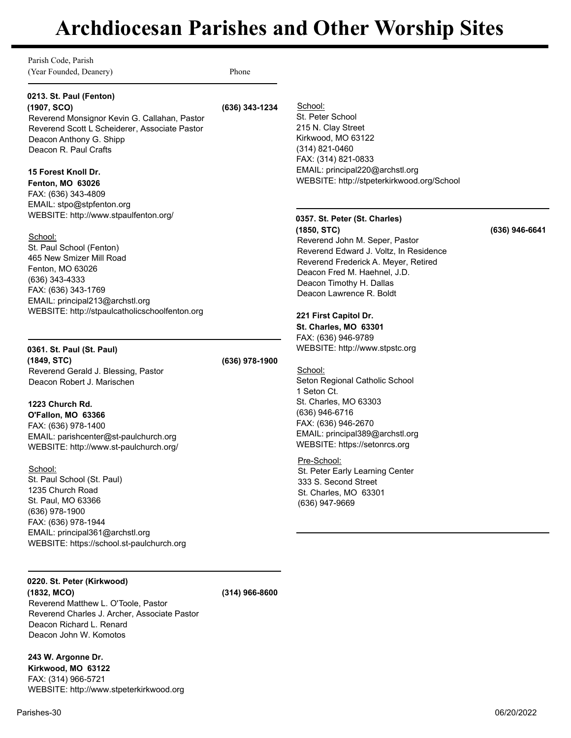Parish Code, Parish (Year Founded, Deanery) Phone

# **0213. St. Paul (Fenton)**

**(1907, SCO) (636) 343-1234** Reverend Monsignor Kevin G. Callahan, Pastor Reverend Scott L Scheiderer, Associate Pastor Deacon Anthony G. Shipp Deacon R. Paul Crafts

## **15 Forest Knoll Dr.**

**Fenton, MO 63026** FAX: (636) 343-4809 EMAIL: stpo@stpfenton.org WEBSITE: http://www.stpaulfenton.org/

### School:

St. Paul School (Fenton) 465 New Smizer Mill Road Fenton, MO 63026 (636) 343-4333 FAX: (636) 343-1769 EMAIL: principal213@archstl.org WEBSITE: http://stpaulcatholicschoolfenton.org

# **0361. St. Paul (St. Paul)**

**(1849, STC) (636) 978-1900** Reverend Gerald J. Blessing, Pastor Deacon Robert J. Marischen

# **1223 Church Rd.**

**O'Fallon, MO 63366** FAX: (636) 978-1400 EMAIL: parishcenter@st-paulchurch.org WEBSITE: http://www.st-paulchurch.org/

School: St. Paul School (St. Paul) 1235 Church Road St. Paul, MO 63366 (636) 978-1900 FAX: (636) 978-1944 EMAIL: principal361@archstl.org WEBSITE: https://school.st-paulchurch.org

# **0220. St. Peter (Kirkwood)**

**(1832, MCO) (314) 966-8600** Reverend Matthew L. O'Toole, Pastor Reverend Charles J. Archer, Associate Pastor Deacon Richard L. Renard Deacon John W. Komotos

**243 W. Argonne Dr. Kirkwood, MO 63122** FAX: (314) 966-5721 WEBSITE: http://www.stpeterkirkwood.org

School: St. Peter School 215 N. Clay Street Kirkwood, MO 63122 (314) 821-0460 FAX: (314) 821-0833 EMAIL: principal220@archstl.org

# **0357. St. Peter (St. Charles)**

**(1850, STC) (636) 946-6641** Reverend John M. Seper, Pastor Reverend Edward J. Voltz, In Residence Reverend Frederick A. Meyer, Retired Deacon Fred M. Haehnel, J.D. Deacon Timothy H. Dallas Deacon Lawrence R. Boldt

WEBSITE: http://stpeterkirkwood.org/School

# **221 First Capitol Dr.**

**St. Charles, MO 63301** FAX: (636) 946-9789 WEBSITE: http://www.stpstc.org

### School:

Seton Regional Catholic School 1 Seton Ct. St. Charles, MO 63303 (636) 946-6716 FAX: (636) 946-2670 EMAIL: principal389@archstl.org WEBSITE: https://setonrcs.org

### Pre-School:

St. Peter Early Learning Center 333 S. Second Street St. Charles, MO 63301 (636) 947-9669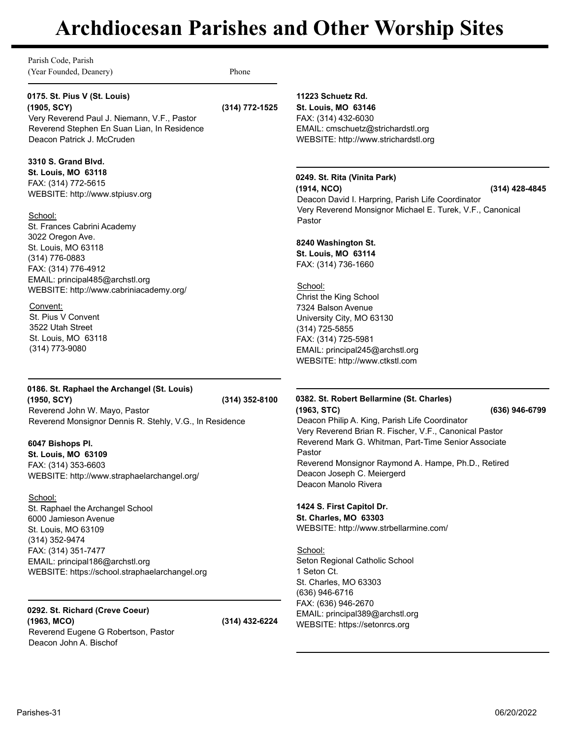Parish Code, Parish (Year Founded, Deanery) Phone

**0175. St. Pius V (St. Louis)**

**(1905, SCY) (314) 772-1525** Very Reverend Paul J. Niemann, V.F., Pastor Reverend Stephen En Suan Lian, In Residence Deacon Patrick J. McCruden

### **3310 S. Grand Blvd.**

**St. Louis, MO 63118** FAX: (314) 772-5615 WEBSITE: http://www.stpiusv.org

### School:

St. Frances Cabrini Academy 3022 Oregon Ave. St. Louis, MO 63118 (314) 776-0883 FAX: (314) 776-4912 EMAIL: principal485@archstl.org WEBSITE: http://www.cabriniacademy.org/

### Convent:

St. Pius V Convent 3522 Utah Street St. Louis, MO 63118 (314) 773-9080

# **0186. St. Raphael the Archangel (St. Louis) (1950, SCY) (314) 352-8100**

Reverend John W. Mayo, Pastor Reverend Monsignor Dennis R. Stehly, V.G., In Residence

## **6047 Bishops Pl.**

**St. Louis, MO 63109** FAX: (314) 353-6603 WEBSITE: http://www.straphaelarchangel.org/

# School:

St. Raphael the Archangel School 6000 Jamieson Avenue St. Louis, MO 63109 (314) 352-9474 FAX: (314) 351-7477 EMAIL: principal186@archstl.org WEBSITE: https://school.straphaelarchangel.org

#### **0292. St. Richard (Creve Coeur) (1963, MCO) (314) 432-6224** Reverend Eugene G Robertson, Pastor Deacon John A. Bischof

**11223 Schuetz Rd. St. Louis, MO 63146** FAX: (314) 432-6030 EMAIL: cmschuetz@strichardstl.org WEBSITE: http://www.strichardstl.org

# **0249. St. Rita (Vinita Park)**

**(1914, NCO) (314) 428-4845**

Deacon David I. Harpring, Parish Life Coordinator Very Reverend Monsignor Michael E. Turek, V.F., Canonical Pastor

# **8240 Washington St.**

**St. Louis, MO 63114** FAX: (314) 736-1660

School: Christ the King School 7324 Balson Avenue University City, MO 63130 (314) 725-5855 FAX: (314) 725-5981 EMAIL: principal245@archstl.org WEBSITE: http://www.ctkstl.com

### **0382. St. Robert Bellarmine (St. Charles) (1963, STC) (636) 946-6799**

Deacon Philip A. King, Parish Life Coordinator Very Reverend Brian R. Fischer, V.F., Canonical Pastor Reverend Mark G. Whitman, Part-Time Senior Associate Pastor Reverend Monsignor Raymond A. Hampe, Ph.D., Retired Deacon Joseph C. Meiergerd Deacon Manolo Rivera

# **1424 S. First Capitol Dr.**

**St. Charles, MO 63303** WEBSITE: http://www.strbellarmine.com/

School: Seton Regional Catholic School 1 Seton Ct. St. Charles, MO 63303 (636) 946-6716 FAX: (636) 946-2670 EMAIL: principal389@archstl.org WEBSITE: https://setonrcs.org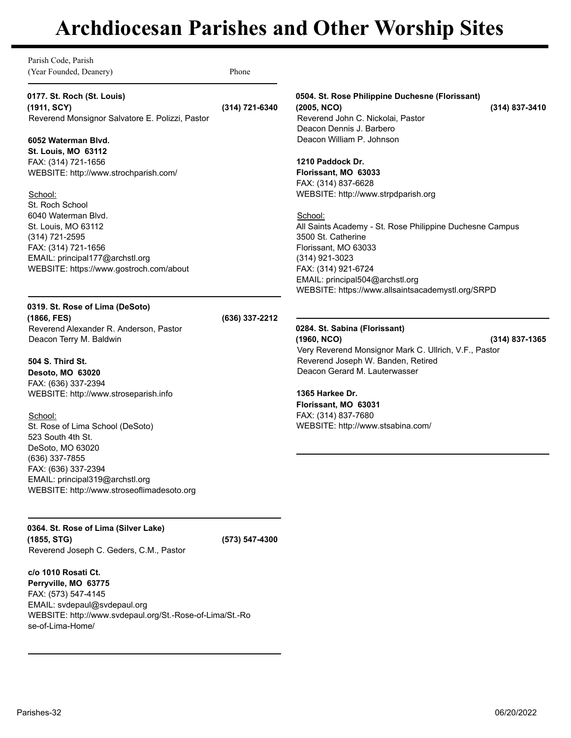| Parish Code, Parish<br>(Year Founded, Deanery)                                                                                                                                       | Phone          |                                                                                                                                                                                                                                                      |                  |
|--------------------------------------------------------------------------------------------------------------------------------------------------------------------------------------|----------------|------------------------------------------------------------------------------------------------------------------------------------------------------------------------------------------------------------------------------------------------------|------------------|
| 0177. St. Roch (St. Louis)<br>(1911, SCY)<br>Reverend Monsignor Salvatore E. Polizzi, Pastor                                                                                         | (314) 721-6340 | 0504. St. Rose Philippine Duchesne (Florissant)<br>(2005, NCO)<br>Reverend John C. Nickolai, Pastor                                                                                                                                                  | (314) 837-3410   |
| 6052 Waterman Blvd.                                                                                                                                                                  |                | Deacon Dennis J. Barbero<br>Deacon William P. Johnson                                                                                                                                                                                                |                  |
| <b>St. Louis, MO 63112</b><br>FAX: (314) 721-1656<br>WEBSITE: http://www.strochparish.com/<br>School:                                                                                |                | 1210 Paddock Dr.<br>Florissant, MO 63033<br>FAX: (314) 837-6628<br>WEBSITE: http://www.strpdparish.org                                                                                                                                               |                  |
| St. Roch School<br>6040 Waterman Blvd.<br>St. Louis, MO 63112<br>(314) 721-2595<br>FAX: (314) 721-1656<br>EMAIL: principal177@archstl.org<br>WEBSITE: https://www.gostroch.com/about |                | School:<br>All Saints Academy - St. Rose Philippine Duchesne Campus<br>3500 St. Catherine<br>Florissant, MO 63033<br>$(314)$ 921-3023<br>FAX: (314) 921-6724<br>EMAIL: principal504@archstl.org<br>WEBSITE: https://www.allsaintsacademystl.org/SRPD |                  |
| 0319. St. Rose of Lima (DeSoto)<br>(1866, FES)                                                                                                                                       | (636) 337-2212 |                                                                                                                                                                                                                                                      |                  |
| Reverend Alexander R. Anderson, Pastor<br>Deacon Terry M. Baldwin                                                                                                                    |                | 0284. St. Sabina (Florissant)<br>(1960, NCO)<br>Very Reverend Monsignor Mark C. Ullrich, V.F., Pastor                                                                                                                                                | $(314)$ 837-1365 |
| 504 S. Third St.<br>Desoto, MO 63020                                                                                                                                                 |                | Reverend Joseph W. Banden, Retired<br>Deacon Gerard M. Lauterwasser                                                                                                                                                                                  |                  |
| FAX: (636) 337-2394<br>WEBSITE: http://www.stroseparish.info                                                                                                                         |                | 1365 Harkee Dr.<br>Florissant, MO 63031                                                                                                                                                                                                              |                  |
| School:<br>St. Rose of Lima School (DeSoto)<br>523 South 4th St.<br>DeSoto, MO 63020<br>(636) 337-7855                                                                               |                | FAX: (314) 837-7680<br>WEBSITE: http://www.stsabina.com/                                                                                                                                                                                             |                  |
| FAX: (636) 337-2394<br>EMAIL: principal319@archstl.org<br>WEBSITE: http://www.stroseoflimadesoto.org                                                                                 |                |                                                                                                                                                                                                                                                      |                  |
| 0364. St. Rose of Lima (Silver Lake)<br>(1855, STG)<br>Reverend Joseph C. Geders, C.M., Pastor                                                                                       | (573) 547-4300 |                                                                                                                                                                                                                                                      |                  |

**c/o 1010 Rosati Ct. Perryville, MO 63775** FAX: (573) 547-4145

se-of-Lima-Home/

EMAIL: svdepaul@svdepaul.org

WEBSITE: http://www.svdepaul.org/St.-Rose-of-Lima/St.-Ro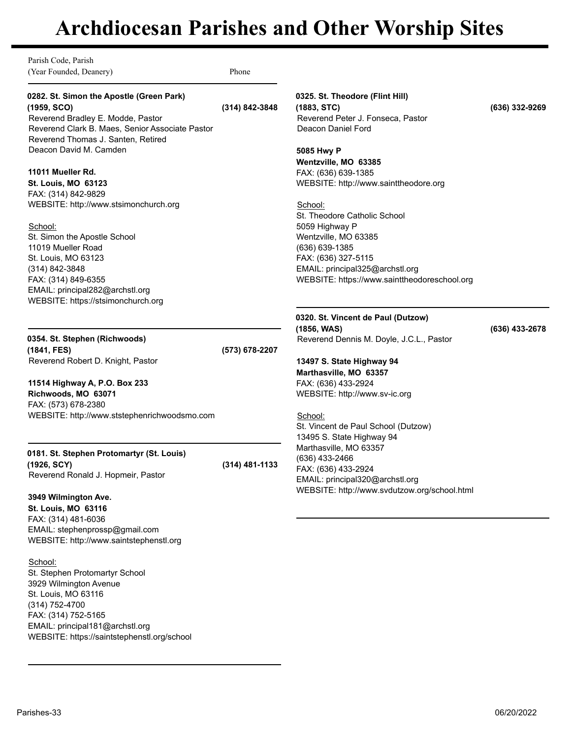Parish Code, Parish (Year Founded, Deanery) Phone

# **0282. St. Simon the Apostle (Green Park) (1959, SCO) (314) 842-3848**

Reverend Bradley E. Modde, Pastor Reverend Clark B. Maes, Senior Associate Pastor Reverend Thomas J. Santen, Retired Deacon David M. Camden

## **11011 Mueller Rd.**

**St. Louis, MO 63123** FAX: (314) 842-9829 WEBSITE: http://www.stsimonchurch.org

### School:

St. Simon the Apostle School 11019 Mueller Road St. Louis, MO 63123 (314) 842-3848 FAX: (314) 849-6355 EMAIL: principal282@archstl.org WEBSITE: https://stsimonchurch.org

**0354. St. Stephen (Richwoods) (1841, FES) (573) 678-2207** Reverend Robert D. Knight, Pastor

**11514 Highway A, P.O. Box 233 Richwoods, MO 63071** FAX: (573) 678-2380 WEBSITE: http://www.ststephenrichwoodsmo.com

### **0181. St. Stephen Protomartyr (St. Louis) (1926, SCY) (314) 481-1133** Reverend Ronald J. Hopmeir, Pastor

**3949 Wilmington Ave. St. Louis, MO 63116** FAX: (314) 481-6036 EMAIL: stephenprossp@gmail.com WEBSITE: http://www.saintstephenstl.org

School: St. Stephen Protomartyr School 3929 Wilmington Avenue St. Louis, MO 63116 (314) 752-4700 FAX: (314) 752-5165 EMAIL: principal181@archstl.org WEBSITE: https://saintstephenstl.org/school **0325. St. Theodore (Flint Hill) (1883, STC) (636) 332-9269** Reverend Peter J. Fonseca, Pastor Deacon Daniel Ford

**5085 Hwy P Wentzville, MO 63385** FAX: (636) 639-1385 WEBSITE: http://www.sainttheodore.org

School: St. Theodore Catholic School 5059 Highway P Wentzville, MO 63385 (636) 639-1385 FAX: (636) 327-5115 EMAIL: principal325@archstl.org WEBSITE: https://www.sainttheodoreschool.org

# **0320. St. Vincent de Paul (Dutzow)**

**(1856, WAS) (636) 433-2678** Reverend Dennis M. Doyle, J.C.L., Pastor

# **13497 S. State Highway 94 Marthasville, MO 63357**

FAX: (636) 433-2924 WEBSITE: http://www.sv-ic.org

# School:

St. Vincent de Paul School (Dutzow) 13495 S. State Highway 94 Marthasville, MO 63357 (636) 433-2466 FAX: (636) 433-2924 EMAIL: principal320@archstl.org WEBSITE: http://www.svdutzow.org/school.html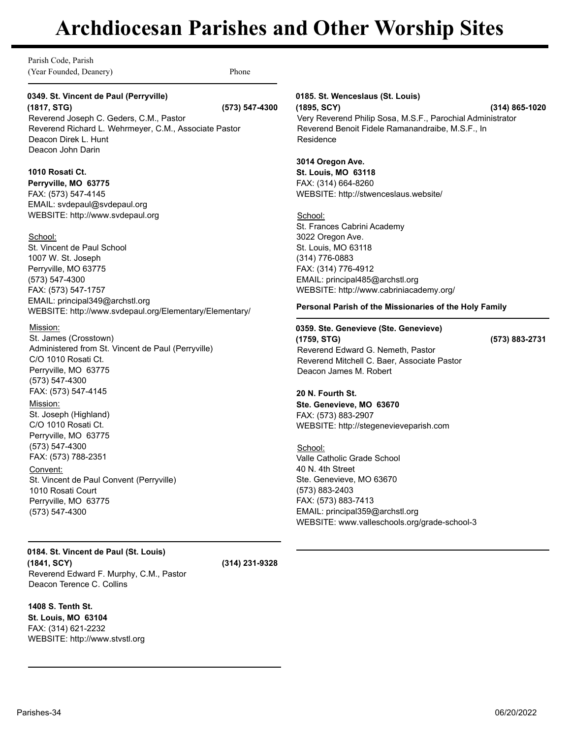Parish Code, Parish (Year Founded, Deanery) Phone

# **0349. St. Vincent de Paul (Perryville)**

**(1817, STG) (573) 547-4300** Reverend Joseph C. Geders, C.M., Pastor Reverend Richard L. Wehrmeyer, C.M., Associate Pastor Deacon Direk L. Hunt Deacon John Darin

## **1010 Rosati Ct.**

**Perryville, MO 63775** FAX: (573) 547-4145 EMAIL: svdepaul@svdepaul.org WEBSITE: http://www.svdepaul.org

### School:

St. Vincent de Paul School 1007 W. St. Joseph Perryville, MO 63775 (573) 547-4300 FAX: (573) 547-1757 EMAIL: principal349@archstl.org WEBSITE: http://www.svdepaul.org/Elementary/Elementary/

### Mission:

St. James (Crosstown) Administered from St. Vincent de Paul (Perryville) C/O 1010 Rosati Ct. Perryville, MO 63775 (573) 547-4300 FAX: (573) 547-4145

### Mission:

St. Joseph (Highland) C/O 1010 Rosati Ct. Perryville, MO 63775 (573) 547-4300 FAX: (573) 788-2351

Convent: St. Vincent de Paul Convent (Perryville) 1010 Rosati Court Perryville, MO 63775 (573) 547-4300

**0184. St. Vincent de Paul (St. Louis) (1841, SCY) (314) 231-9328** Reverend Edward F. Murphy, C.M., Pastor Deacon Terence C. Collins

## **1408 S. Tenth St. St. Louis, MO 63104** FAX: (314) 621-2232 WEBSITE: http://www.stvstl.org

### **0185. St. Wenceslaus (St. Louis)**

**(1895, SCY) (314) 865-1020** Very Reverend Philip Sosa, M.S.F., Parochial Administrator Reverend Benoit Fidele Ramanandraibe, M.S.F., In Residence

## **3014 Oregon Ave.**

**St. Louis, MO 63118** FAX: (314) 664-8260 WEBSITE: http://stwenceslaus.website/

### School:

St. Frances Cabrini Academy 3022 Oregon Ave. St. Louis, MO 63118 (314) 776-0883 FAX: (314) 776-4912 EMAIL: principal485@archstl.org WEBSITE: http://www.cabriniacademy.org/

### **Personal Parish of the Missionaries of the Holy Family**

### **0359. Ste. Genevieve (Ste. Genevieve)**

**(1759, STG) (573) 883-2731** Reverend Edward G. Nemeth, Pastor Reverend Mitchell C. Baer, Associate Pastor Deacon James M. Robert

# **20 N. Fourth St.**

**Ste. Genevieve, MO 63670** FAX: (573) 883-2907 WEBSITE: http://stegenevieveparish.com

School: Valle Catholic Grade School 40 N. 4th Street Ste. Genevieve, MO 63670 (573) 883-2403 FAX: (573) 883-7413 EMAIL: principal359@archstl.org WEBSITE: www.valleschools.org/grade-school-3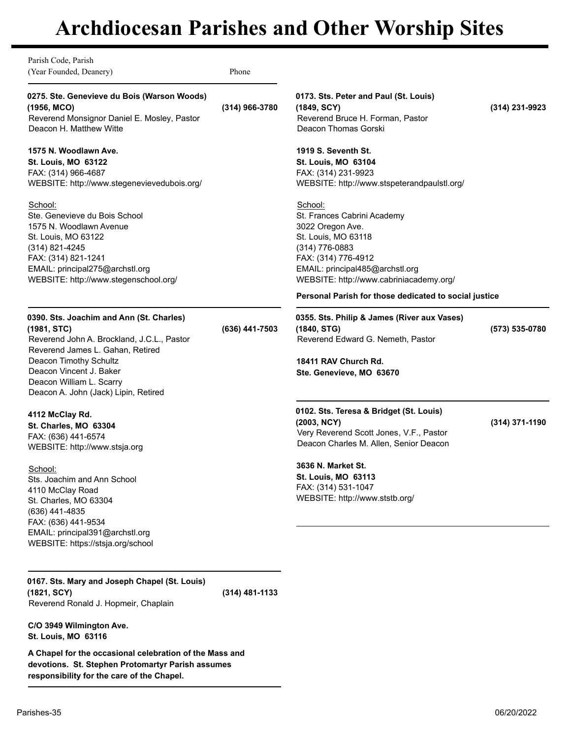Parish Code, Parish (Year Founded, Deanery) Phone **0275. Ste. Genevieve du Bois (Warson Woods) (1956, MCO) (314) 966-3780** Reverend Monsignor Daniel E. Mosley, Pastor Deacon H. Matthew Witte **1575 N. Woodlawn Ave. St. Louis, MO 63122** FAX: (314) 966-4687 WEBSITE: http://www.stegenevievedubois.org/ School: Ste. Genevieve du Bois School 1575 N. Woodlawn Avenue St. Louis, MO 63122 (314) 821-4245 FAX: (314) 821-1241 EMAIL: principal275@archstl.org WEBSITE: http://www.stegenschool.org/ **0390. Sts. Joachim and Ann (St. Charles) (1981, STC) (636) 441-7503** Reverend John A. Brockland, J.C.L., Pastor Reverend James L. Gahan, Retired Deacon Timothy Schultz Deacon Vincent J. Baker Deacon William L. Scarry Deacon A. John (Jack) Lipin, Retired **4112 McClay Rd. St. Charles, MO 63304** FAX: (636) 441-6574 WEBSITE: http://www.stsja.org School: Sts. Joachim and Ann School 4110 McClay Road St. Charles, MO 63304 (636) 441-4835 FAX: (636) 441-9534 EMAIL: principal391@archstl.org WEBSITE: https://stsja.org/school **0167. Sts. Mary and Joseph Chapel (St. Louis) (1821, SCY) (314) 481-1133 0173. Sts. Peter and Paul (St. Louis) (1849, SCY) (314) 231-9923** Reverend Bruce H. Forman, Pastor Deacon Thomas Gorski **1919 S. Seventh St. St. Louis, MO 63104** FAX: (314) 231-9923 WEBSITE: http://www.stspeterandpaulstl.org/ School: St. Frances Cabrini Academy 3022 Oregon Ave. St. Louis, MO 63118 (314) 776-0883 FAX: (314) 776-4912 EMAIL: principal485@archstl.org WEBSITE: http://www.cabriniacademy.org/ **Personal Parish for those dedicated to social justice 0355. Sts. Philip & James (River aux Vases) (1840, STG) (573) 535-0780** Reverend Edward G. Nemeth, Pastor **18411 RAV Church Rd. Ste. Genevieve, MO 63670 0102. Sts. Teresa & Bridget (St. Louis) (2003, NCY) (314) 371-1190** Very Reverend Scott Jones, V.F., Pastor Deacon Charles M. Allen, Senior Deacon **3636 N. Market St. St. Louis, MO 63113** FAX: (314) 531-1047 WEBSITE: http://www.ststb.org/

Reverend Ronald J. Hopmeir, Chaplain

**C/O 3949 Wilmington Ave. St. Louis, MO 63116**

**A Chapel for the occasional celebration of the Mass and devotions. St. Stephen Protomartyr Parish assumes responsibility for the care of the Chapel.**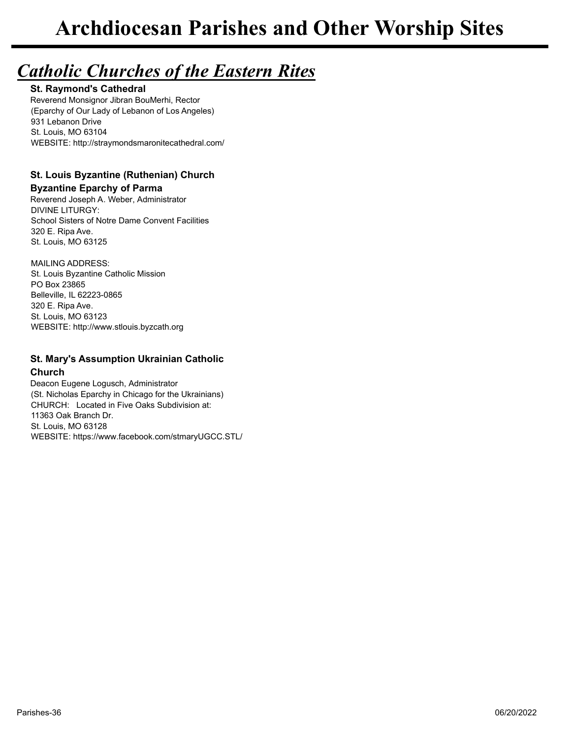# *Catholic Churches of the Eastern Rites*

**St. Raymond's Cathedral** Reverend Monsignor Jibran BouMerhi, Rector (Eparchy of Our Lady of Lebanon of Los Angeles) 931 Lebanon Drive St. Louis, MO 63104 WEBSITE: http://straymondsmaronitecathedral.com/

# **St. Louis Byzantine (Ruthenian) Church**

# **Byzantine Eparchy of Parma**

Reverend Joseph A. Weber, Administrator DIVINE LITURGY: School Sisters of Notre Dame Convent Facilities 320 E. Ripa Ave. St. Louis, MO 63125

MAILING ADDRESS: St. Louis Byzantine Catholic Mission PO Box 23865 Belleville, IL 62223-0865 320 E. Ripa Ave. St. Louis, MO 63123 WEBSITE: http://www.stlouis.byzcath.org

# **St. Mary's Assumption Ukrainian Catholic Church**

Deacon Eugene Logusch, Administrator (St. Nicholas Eparchy in Chicago for the Ukrainians) CHURCH: Located in Five Oaks Subdivision at: 11363 Oak Branch Dr. St. Louis, MO 63128 WEBSITE: https://www.facebook.com/stmaryUGCC.STL/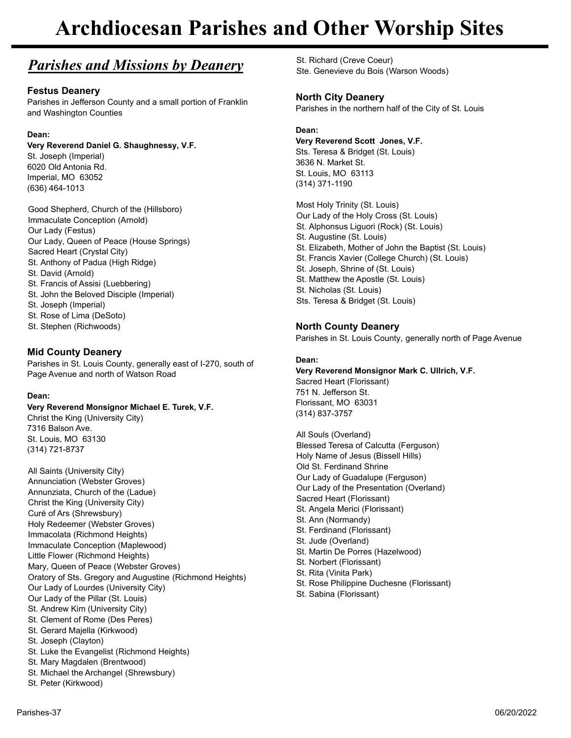# *Parishes and Missions by Deanery*

# **Festus Deanery**

Parishes in Jefferson County and a small portion of Franklin and Washington Counties

# **Dean:**

# **Very Reverend Daniel G. Shaughnessy, V.F.**

St. Joseph (Imperial) 6020 Old Antonia Rd. Imperial, MO 63052 (636) 464-1013

Good Shepherd, Church of the (Hillsboro) Immaculate Conception (Arnold) Our Lady (Festus) Our Lady, Queen of Peace (House Springs) Sacred Heart (Crystal City) St. Anthony of Padua (High Ridge) St. David (Arnold) St. Francis of Assisi (Luebbering) St. John the Beloved Disciple (Imperial) St. Joseph (Imperial) St. Rose of Lima (DeSoto) St. Stephen (Richwoods)

# **Mid County Deanery**

Parishes in St. Louis County, generally east of I-270, south of Page Avenue and north of Watson Road

## **Dean:**

## **Very Reverend Monsignor Michael E. Turek, V.F.**

Christ the King (University City) 7316 Balson Ave. St. Louis, MO 63130 (314) 721-8737

All Saints (University City) Annunciation (Webster Groves) Annunziata, Church of the (Ladue) Christ the King (University City) Curé of Ars (Shrewsbury) Holy Redeemer (Webster Groves) Immacolata (Richmond Heights) Immaculate Conception (Maplewood) Little Flower (Richmond Heights) Mary, Queen of Peace (Webster Groves) Oratory of Sts. Gregory and Augustine (Richmond Heights) Our Lady of Lourdes (University City) Our Lady of the Pillar (St. Louis) St. Andrew Kim (University City) St. Clement of Rome (Des Peres) St. Gerard Majella (Kirkwood) St. Joseph (Clayton) St. Luke the Evangelist (Richmond Heights) St. Mary Magdalen (Brentwood) St. Michael the Archangel (Shrewsbury) St. Peter (Kirkwood)

St. Richard (Creve Coeur) Ste. Genevieve du Bois (Warson Woods)

# **North City Deanery**

Parishes in the northern half of the City of St. Louis

# **Dean:**

# **Very Reverend Scott Jones, V.F.**

Sts. Teresa & Bridget (St. Louis) 3636 N. Market St. St. Louis, MO 63113 (314) 371-1190

Most Holy Trinity (St. Louis) Our Lady of the Holy Cross (St. Louis) St. Alphonsus Liguori (Rock) (St. Louis) St. Augustine (St. Louis) St. Elizabeth, Mother of John the Baptist (St. Louis) St. Francis Xavier (College Church) (St. Louis) St. Joseph, Shrine of (St. Louis) St. Matthew the Apostle (St. Louis) St. Nicholas (St. Louis) Sts. Teresa & Bridget (St. Louis)

# **North County Deanery**

Parishes in St. Louis County, generally north of Page Avenue

# **Dean:**

### **Very Reverend Monsignor Mark C. Ullrich, V.F.** Sacred Heart (Florissant) 751 N. Jefferson St. Florissant, MO 63031 (314) 837-3757

All Souls (Overland) Blessed Teresa of Calcutta (Ferguson) Holy Name of Jesus (Bissell Hills) Old St. Ferdinand Shrine Our Lady of Guadalupe (Ferguson) Our Lady of the Presentation (Overland) Sacred Heart (Florissant) St. Angela Merici (Florissant) St. Ann (Normandy) St. Ferdinand (Florissant) St. Jude (Overland) St. Martin De Porres (Hazelwood) St. Norbert (Florissant) St. Rita (Vinita Park) St. Rose Philippine Duchesne (Florissant) St. Sabina (Florissant)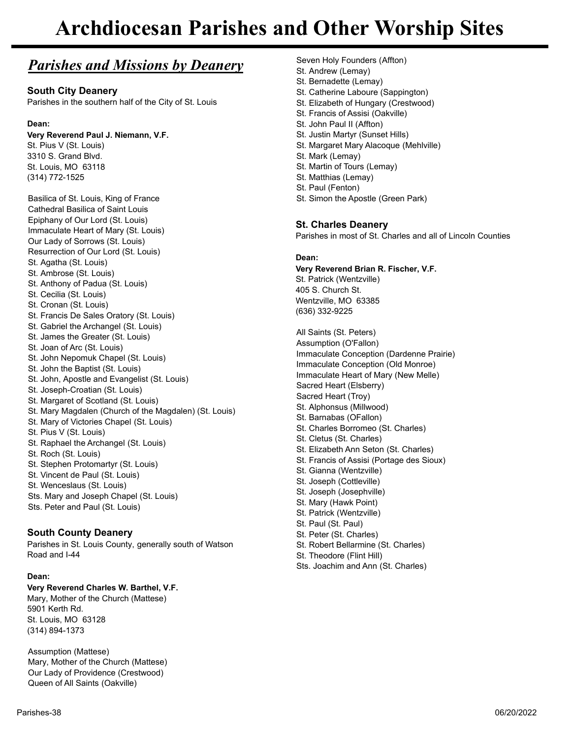# *Parishes and Missions by Deanery*

# **South City Deanery**

Parishes in the southern half of the City of St. Louis

## **Dean:**

## **Very Reverend Paul J. Niemann, V.F.**

St. Pius V (St. Louis) 3310 S. Grand Blvd. St. Louis, MO 63118 (314) 772-1525

Basilica of St. Louis, King of France Cathedral Basilica of Saint Louis Epiphany of Our Lord (St. Louis) Immaculate Heart of Mary (St. Louis) Our Lady of Sorrows (St. Louis) Resurrection of Our Lord (St. Louis) St. Agatha (St. Louis) St. Ambrose (St. Louis) St. Anthony of Padua (St. Louis) St. Cecilia (St. Louis) St. Cronan (St. Louis) St. Francis De Sales Oratory (St. Louis) St. Gabriel the Archangel (St. Louis) St. James the Greater (St. Louis) St. Joan of Arc (St. Louis) St. John Nepomuk Chapel (St. Louis) St. John the Baptist (St. Louis) St. John, Apostle and Evangelist (St. Louis) St. Joseph-Croatian (St. Louis) St. Margaret of Scotland (St. Louis) St. Mary Magdalen (Church of the Magdalen) (St. Louis) St. Mary of Victories Chapel (St. Louis) St. Pius V (St. Louis) St. Raphael the Archangel (St. Louis) St. Roch (St. Louis) St. Stephen Protomartyr (St. Louis) St. Vincent de Paul (St. Louis) St. Wenceslaus (St. Louis) Sts. Mary and Joseph Chapel (St. Louis) Sts. Peter and Paul (St. Louis)

# **South County Deanery**

Parishes in St. Louis County, generally south of Watson Road and I-44

## **Dean:**

#### **Very Reverend Charles W. Barthel, V.F.** Mary, Mother of the Church (Mattese)

5901 Kerth Rd. St. Louis, MO 63128 (314) 894-1373

Assumption (Mattese) Mary, Mother of the Church (Mattese) Our Lady of Providence (Crestwood) Queen of All Saints (Oakville)

St. Bernadette (Lemay) St. Catherine Laboure (Sappington) St. Elizabeth of Hungary (Crestwood) St. Francis of Assisi (Oakville) St. John Paul II (Affton) St. Justin Martyr (Sunset Hills) St. Margaret Mary Alacoque (Mehlville) St. Mark (Lemay) St. Martin of Tours (Lemay) St. Matthias (Lemay) St. Paul (Fenton) St. Simon the Apostle (Green Park) **St. Charles Deanery** Parishes in most of St. Charles and all of Lincoln Counties **Dean: Very Reverend Brian R. Fischer, V.F.** St. Patrick (Wentzville) 405 S. Church St. Wentzville, MO 63385 (636) 332-9225 All Saints (St. Peters) Assumption (O'Fallon) Immaculate Conception (Dardenne Prairie) Immaculate Conception (Old Monroe) Immaculate Heart of Mary (New Melle) Sacred Heart (Elsberry) Sacred Heart (Troy) St. Alphonsus (Millwood) St. Barnabas (OFallon) St. Charles Borromeo (St. Charles) St. Cletus (St. Charles) St. Elizabeth Ann Seton (St. Charles) St. Francis of Assisi (Portage des Sioux) St. Gianna (Wentzville) St. Joseph (Cottleville) St. Joseph (Josephville) St. Mary (Hawk Point) St. Patrick (Wentzville) St. Paul (St. Paul) St. Peter (St. Charles) St. Robert Bellarmine (St. Charles)

Seven Holy Founders (Affton)

St. Andrew (Lemay)

- St. Theodore (Flint Hill)
- Sts. Joachim and Ann (St. Charles)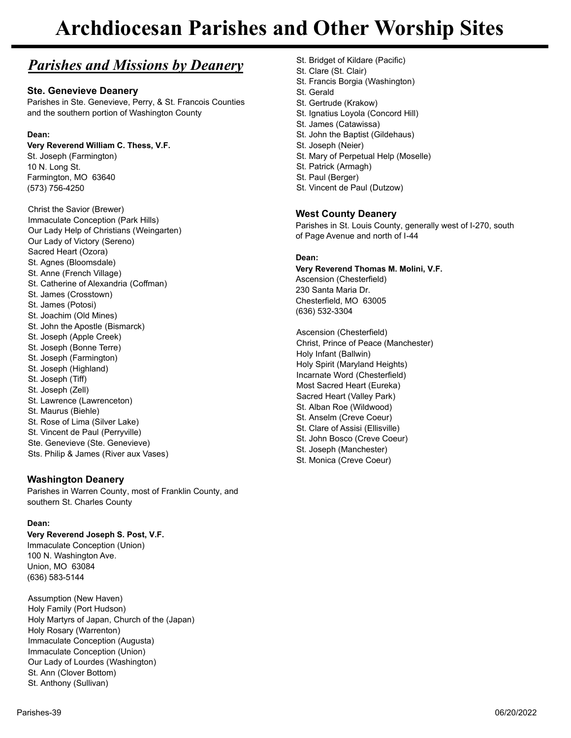# *Parishes and Missions by Deanery*

# **Ste. Genevieve Deanery**

Parishes in Ste. Genevieve, Perry, & St. Francois Counties and the southern portion of Washington County

# **Dean:**

## **Very Reverend William C. Thess, V.F.**

St. Joseph (Farmington) 10 N. Long St. Farmington, MO 63640 (573) 756-4250

Christ the Savior (Brewer) Immaculate Conception (Park Hills) Our Lady Help of Christians (Weingarten) Our Lady of Victory (Sereno) Sacred Heart (Ozora) St. Agnes (Bloomsdale) St. Anne (French Village) St. Catherine of Alexandria (Coffman) St. James (Crosstown) St. James (Potosi) St. Joachim (Old Mines) St. John the Apostle (Bismarck) St. Joseph (Apple Creek) St. Joseph (Bonne Terre) St. Joseph (Farmington) St. Joseph (Highland) St. Joseph (Tiff) St. Joseph (Zell) St. Lawrence (Lawrenceton) St. Maurus (Biehle) St. Rose of Lima (Silver Lake) St. Vincent de Paul (Perryville) Ste. Genevieve (Ste. Genevieve) Sts. Philip & James (River aux Vases)

# **Washington Deanery**

Parishes in Warren County, most of Franklin County, and southern St. Charles County

## **Dean:**

## **Very Reverend Joseph S. Post, V.F.**

Immaculate Conception (Union) 100 N. Washington Ave. Union, MO 63084 (636) 583-5144

Assumption (New Haven) Holy Family (Port Hudson) Holy Martyrs of Japan, Church of the (Japan) Holy Rosary (Warrenton) Immaculate Conception (Augusta) Immaculate Conception (Union) Our Lady of Lourdes (Washington) St. Ann (Clover Bottom) St. Anthony (Sullivan)

St. Clare (St. Clair) St. Francis Borgia (Washington) St. Gerald St. Gertrude (Krakow) St. Ignatius Loyola (Concord Hill) St. James (Catawissa) St. John the Baptist (Gildehaus) St. Joseph (Neier) St. Mary of Perpetual Help (Moselle) St. Patrick (Armagh) St. Paul (Berger) St. Vincent de Paul (Dutzow)

St. Bridget of Kildare (Pacific)

# **West County Deanery**

Parishes in St. Louis County, generally west of I-270, south of Page Avenue and north of I-44

### **Dean:**

**Very Reverend Thomas M. Molini, V.F.** Ascension (Chesterfield) 230 Santa Maria Dr. Chesterfield, MO 63005 (636) 532-3304

Ascension (Chesterfield) Christ, Prince of Peace (Manchester) Holy Infant (Ballwin) Holy Spirit (Maryland Heights) Incarnate Word (Chesterfield) Most Sacred Heart (Eureka) Sacred Heart (Valley Park) St. Alban Roe (Wildwood) St. Anselm (Creve Coeur) St. Clare of Assisi (Ellisville) St. John Bosco (Creve Coeur) St. Joseph (Manchester) St. Monica (Creve Coeur)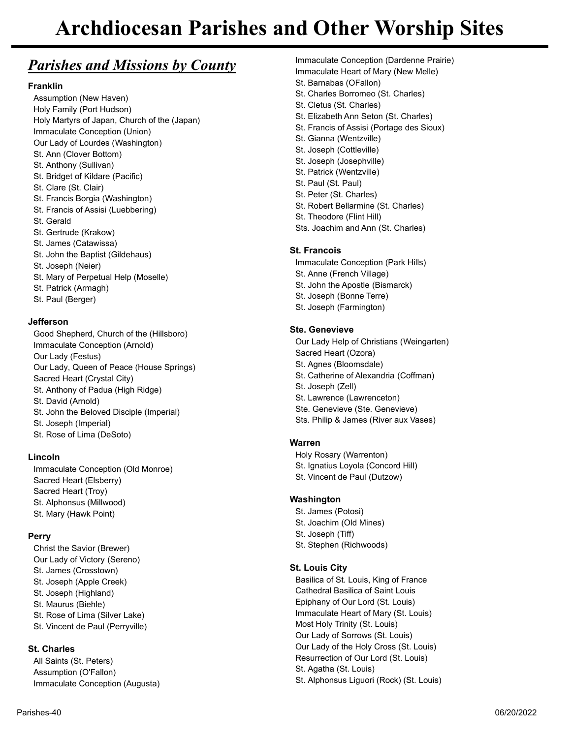# *Parishes and Missions by County*

# **Franklin**

Assumption (New Haven) Holy Family (Port Hudson) Holy Martyrs of Japan, Church of the (Japan) Immaculate Conception (Union) Our Lady of Lourdes (Washington) St. Ann (Clover Bottom) St. Anthony (Sullivan) St. Bridget of Kildare (Pacific) St. Clare (St. Clair) St. Francis Borgia (Washington) St. Francis of Assisi (Luebbering) St. Gerald St. Gertrude (Krakow) St. James (Catawissa) St. John the Baptist (Gildehaus) St. Joseph (Neier) St. Mary of Perpetual Help (Moselle) St. Patrick (Armagh)

St. Paul (Berger)

## **Jefferson**

Good Shepherd, Church of the (Hillsboro) Immaculate Conception (Arnold) Our Lady (Festus) Our Lady, Queen of Peace (House Springs) Sacred Heart (Crystal City) St. Anthony of Padua (High Ridge) St. David (Arnold) St. John the Beloved Disciple (Imperial) St. Joseph (Imperial) St. Rose of Lima (DeSoto)

## **Lincoln**

Immaculate Conception (Old Monroe) Sacred Heart (Elsberry) Sacred Heart (Troy) St. Alphonsus (Millwood) St. Mary (Hawk Point)

# **Perry**

Christ the Savior (Brewer) Our Lady of Victory (Sereno) St. James (Crosstown) St. Joseph (Apple Creek) St. Joseph (Highland) St. Maurus (Biehle) St. Rose of Lima (Silver Lake) St. Vincent de Paul (Perryville)

# **St. Charles**

All Saints (St. Peters) Assumption (O'Fallon) Immaculate Conception (Augusta) Immaculate Heart of Mary (New Melle) St. Barnabas (OFallon) St. Charles Borromeo (St. Charles) St. Cletus (St. Charles) St. Elizabeth Ann Seton (St. Charles) St. Francis of Assisi (Portage des Sioux) St. Gianna (Wentzville) St. Joseph (Cottleville) St. Joseph (Josephville) St. Patrick (Wentzville) St. Paul (St. Paul) St. Peter (St. Charles) St. Robert Bellarmine (St. Charles) St. Theodore (Flint Hill)

Immaculate Conception (Dardenne Prairie)

Sts. Joachim and Ann (St. Charles)

# **St. Francois**

Immaculate Conception (Park Hills) St. Anne (French Village) St. John the Apostle (Bismarck) St. Joseph (Bonne Terre) St. Joseph (Farmington)

# **Ste. Genevieve**

Our Lady Help of Christians (Weingarten) Sacred Heart (Ozora) St. Agnes (Bloomsdale) St. Catherine of Alexandria (Coffman) St. Joseph (Zell) St. Lawrence (Lawrenceton) Ste. Genevieve (Ste. Genevieve) Sts. Philip & James (River aux Vases)

# **Warren**

Holy Rosary (Warrenton) St. Ignatius Loyola (Concord Hill) St. Vincent de Paul (Dutzow)

# **Washington**

St. James (Potosi) St. Joachim (Old Mines) St. Joseph (Tiff) St. Stephen (Richwoods)

# **St. Louis City**

Basilica of St. Louis, King of France Cathedral Basilica of Saint Louis Epiphany of Our Lord (St. Louis) Immaculate Heart of Mary (St. Louis) Most Holy Trinity (St. Louis) Our Lady of Sorrows (St. Louis) Our Lady of the Holy Cross (St. Louis) Resurrection of Our Lord (St. Louis) St. Agatha (St. Louis) St. Alphonsus Liguori (Rock) (St. Louis)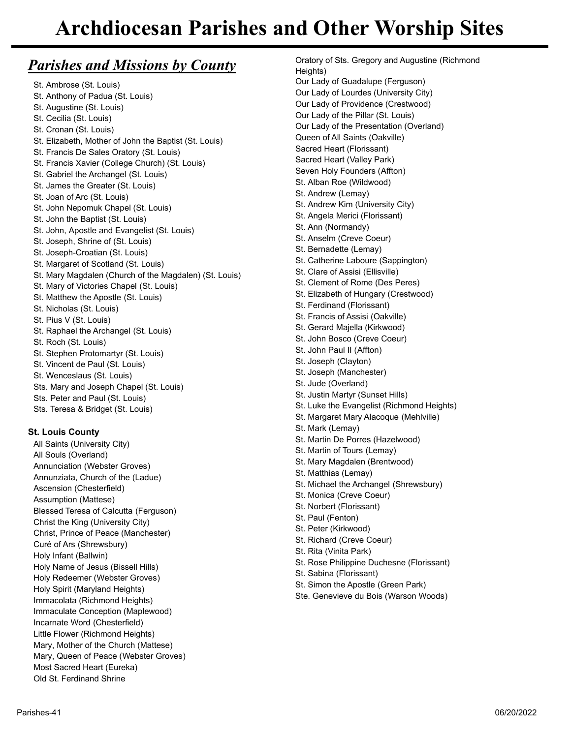# *Parishes and Missions by County*

St. Ambrose (St. Louis) St. Anthony of Padua (St. Louis) St. Augustine (St. Louis) St. Cecilia (St. Louis) St. Cronan (St. Louis) St. Elizabeth, Mother of John the Baptist (St. Louis) St. Francis De Sales Oratory (St. Louis) St. Francis Xavier (College Church) (St. Louis) St. Gabriel the Archangel (St. Louis) St. James the Greater (St. Louis) St. Joan of Arc (St. Louis) St. John Nepomuk Chapel (St. Louis) St. John the Baptist (St. Louis) St. John, Apostle and Evangelist (St. Louis) St. Joseph, Shrine of (St. Louis) St. Joseph-Croatian (St. Louis) St. Margaret of Scotland (St. Louis) St. Mary Magdalen (Church of the Magdalen) (St. Louis) St. Mary of Victories Chapel (St. Louis) St. Matthew the Apostle (St. Louis) St. Nicholas (St. Louis) St. Pius V (St. Louis) St. Raphael the Archangel (St. Louis) St. Roch (St. Louis) St. Stephen Protomartyr (St. Louis) St. Vincent de Paul (St. Louis) St. Wenceslaus (St. Louis) Sts. Mary and Joseph Chapel (St. Louis) Sts. Peter and Paul (St. Louis) Sts. Teresa & Bridget (St. Louis)

# **St. Louis County**

All Saints (University City) All Souls (Overland) Annunciation (Webster Groves) Annunziata, Church of the (Ladue) Ascension (Chesterfield) Assumption (Mattese) Blessed Teresa of Calcutta (Ferguson) Christ the King (University City) Christ, Prince of Peace (Manchester) Curé of Ars (Shrewsbury) Holy Infant (Ballwin) Holy Name of Jesus (Bissell Hills) Holy Redeemer (Webster Groves) Holy Spirit (Maryland Heights) Immacolata (Richmond Heights) Immaculate Conception (Maplewood) Incarnate Word (Chesterfield) Little Flower (Richmond Heights) Mary, Mother of the Church (Mattese) Mary, Queen of Peace (Webster Groves) Most Sacred Heart (Eureka) Old St. Ferdinand Shrine

Oratory of Sts. Gregory and Augustine (Richmond Heights) Our Lady of Guadalupe (Ferguson) Our Lady of Lourdes (University City) Our Lady of Providence (Crestwood) Our Lady of the Pillar (St. Louis) Our Lady of the Presentation (Overland) Queen of All Saints (Oakville) Sacred Heart (Florissant) Sacred Heart (Valley Park) Seven Holy Founders (Affton) St. Alban Roe (Wildwood) St. Andrew (Lemay) St. Andrew Kim (University City) St. Angela Merici (Florissant) St. Ann (Normandy) St. Anselm (Creve Coeur) St. Bernadette (Lemay) St. Catherine Laboure (Sappington) St. Clare of Assisi (Ellisville) St. Clement of Rome (Des Peres) St. Elizabeth of Hungary (Crestwood) St. Ferdinand (Florissant) St. Francis of Assisi (Oakville) St. Gerard Majella (Kirkwood) St. John Bosco (Creve Coeur) St. John Paul II (Affton) St. Joseph (Clayton) St. Joseph (Manchester) St. Jude (Overland) St. Justin Martyr (Sunset Hills) St. Luke the Evangelist (Richmond Heights) St. Margaret Mary Alacoque (Mehlville) St. Mark (Lemay) St. Martin De Porres (Hazelwood) St. Martin of Tours (Lemay) St. Mary Magdalen (Brentwood) St. Matthias (Lemay) St. Michael the Archangel (Shrewsbury) St. Monica (Creve Coeur) St. Norbert (Florissant) St. Paul (Fenton) St. Peter (Kirkwood) St. Richard (Creve Coeur) St. Rita (Vinita Park) St. Rose Philippine Duchesne (Florissant) St. Sabina (Florissant) St. Simon the Apostle (Green Park)

Ste. Genevieve du Bois (Warson Woods)